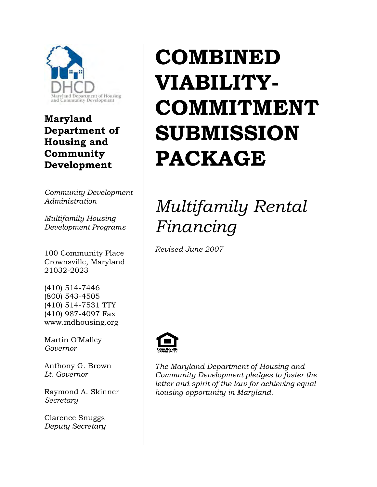

**Maryland Department of Housing and Community Development** 

*Community Development Administration* 

*Multifamily Housing Development Programs*

100 Community Place Crownsville, Maryland 21032-2023

(410) 514-7446 (800) 543-4505 (410) 514-7531 TTY (410) 987-4097 Fax www.mdhousing.org

Martin O'Malley *Governor* 

Anthony G. Brown *Lt. Governor* 

Raymond A. Skinner *Secretary* 

Clarence Snuggs *Deputy Secretary* 

# **COMBINED VIABILITY-COMMITMENT SUBMISSION PACKAGE**

## *Multifamily Rental Financing*

*Revised June 2007* 



*The Maryland Department of Housing and Community Development pledges to foster the letter and spirit of the law for achieving equal housing opportunity in Maryland*.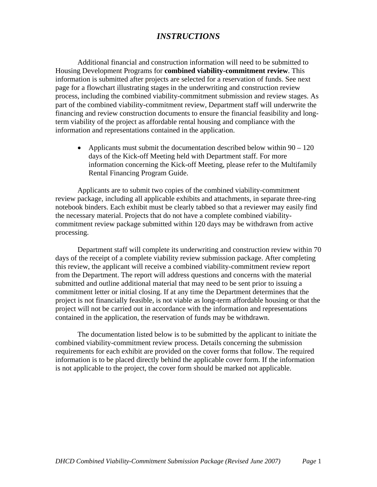## *INSTRUCTIONS*

Additional financial and construction information will need to be submitted to Housing Development Programs for **combined viability-commitment review**. This information is submitted after projects are selected for a reservation of funds. See next page for a flowchart illustrating stages in the underwriting and construction review process, including the combined viability-commitment submission and review stages. As part of the combined viability-commitment review, Department staff will underwrite the financing and review construction documents to ensure the financial feasibility and longterm viability of the project as affordable rental housing and compliance with the information and representations contained in the application.

• Applicants must submit the documentation described below within  $90 - 120$ days of the Kick-off Meeting held with Department staff. For more information concerning the Kick-off Meeting, please refer to the Multifamily Rental Financing Program Guide.

Applicants are to submit two copies of the combined viability-commitment review package, including all applicable exhibits and attachments, in separate three-ring notebook binders. Each exhibit must be clearly tabbed so that a reviewer may easily find the necessary material. Projects that do not have a complete combined viabilitycommitment review package submitted within 120 days may be withdrawn from active processing.

Department staff will complete its underwriting and construction review within 70 days of the receipt of a complete viability review submission package. After completing this review, the applicant will receive a combined viability-commitment review report from the Department. The report will address questions and concerns with the material submitted and outline additional material that may need to be sent prior to issuing a commitment letter or initial closing. If at any time the Department determines that the project is not financially feasible, is not viable as long-term affordable housing or that the project will not be carried out in accordance with the information and representations contained in the application, the reservation of funds may be withdrawn.

The documentation listed below is to be submitted by the applicant to initiate the combined viability-commitment review process. Details concerning the submission requirements for each exhibit are provided on the cover forms that follow. The required information is to be placed directly behind the applicable cover form. If the information is not applicable to the project, the cover form should be marked not applicable.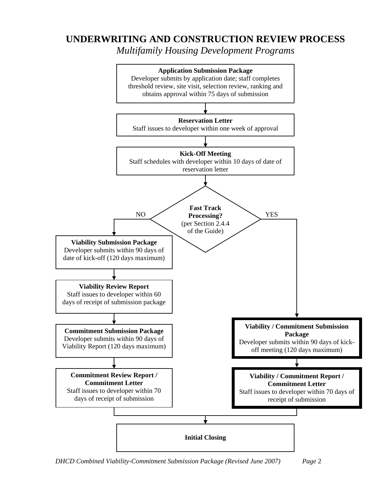## **UNDERWRITING AND CONSTRUCTION REVIEW PROCESS**

*Multifamily Housing Development Programs*



*DHCD Combined Viability-Commitment Submission Package (Revised June 2007) Page* 2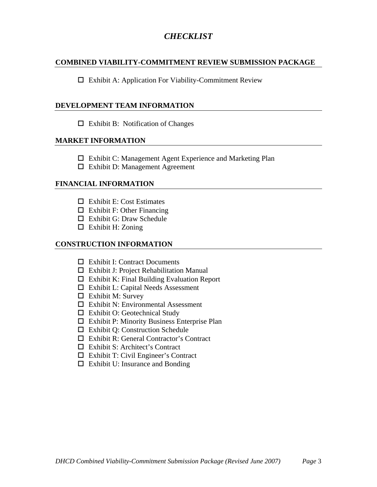## *CHECKLIST*

#### **COMBINED VIABILITY-COMMITMENT REVIEW SUBMISSION PACKAGE**

 $\square$  Exhibit A: Application For Viability-Commitment Review

#### **DEVELOPMENT TEAM INFORMATION**

 $\Box$  Exhibit B: Notification of Changes

#### **MARKET INFORMATION**

- Exhibit C: Management Agent Experience and Marketing Plan
- $\Box$  Exhibit D: Management Agreement

#### **FINANCIAL INFORMATION**

- $\Box$  Exhibit E: Cost Estimates
- $\Box$  Exhibit F: Other Financing
- $\Box$  Exhibit G: Draw Schedule
- $\Box$  Exhibit H: Zoning

#### **CONSTRUCTION INFORMATION**

- $\Box$  Exhibit I: Contract Documents
- Exhibit J: Project Rehabilitation Manual
- $\Box$  Exhibit K: Final Building Evaluation Report
- $\Box$  Exhibit L: Capital Needs Assessment
- $\Box$  Exhibit M: Survey
- $\square$  Exhibit N: Environmental Assessment
- Exhibit O: Geotechnical Study
- $\Box$  Exhibit P: Minority Business Enterprise Plan
- Exhibit Q: Construction Schedule
- Exhibit R: General Contractor's Contract
- $\Box$  Exhibit S: Architect's Contract
- Exhibit T: Civil Engineer's Contract
- $\Box$  Exhibit U: Insurance and Bonding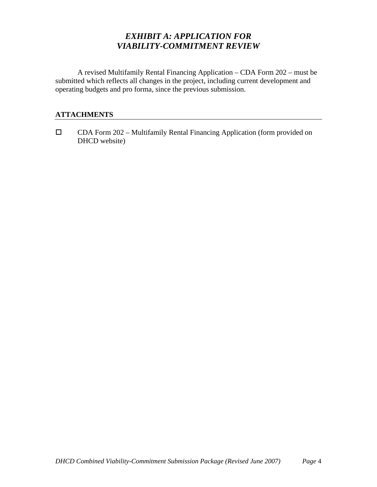## *EXHIBIT A: APPLICATION FOR VIABILITY-COMMITMENT REVIEW*

A revised Multifamily Rental Financing Application – CDA Form 202 – must be submitted which reflects all changes in the project, including current development and operating budgets and pro forma, since the previous submission.

#### **ATTACHMENTS**

 $\square$  CDA Form 202 – Multifamily Rental Financing Application (form provided on DHCD website)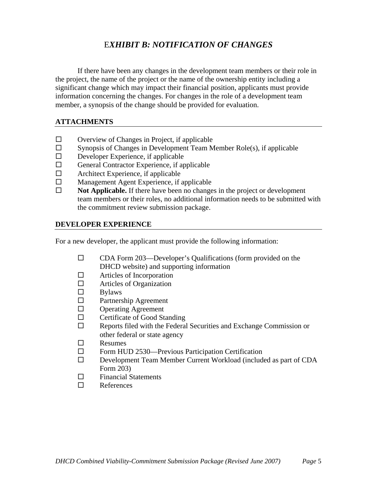## E*XHIBIT B: NOTIFICATION OF CHANGES*

If there have been any changes in the development team members or their role in the project, the name of the project or the name of the ownership entity including a significant change which may impact their financial position, applicants must provide information concerning the changes. For changes in the role of a development team member, a synopsis of the change should be provided for evaluation.

#### **ATTACHMENTS**

- $\Box$  Overview of Changes in Project, if applicable
- $\square$  Synopsis of Changes in Development Team Member Role(s), if applicable
- $\square$  Developer Experience, if applicable
- □ General Contractor Experience, if applicable
- $\Box$  Architect Experience, if applicable
- □ Management Agent Experience, if applicable
- **Not Applicable.** If there have been no changes in the project or development team members or their roles, no additional information needs to be submitted with the commitment review submission package.

#### **DEVELOPER EXPERIENCE**

For a new developer, the applicant must provide the following information:

- □ CDA Form 203—Developer's Qualifications (form provided on the DHCD website) and supporting information
- □ Articles of Incorporation
- $\Box$  Articles of Organization
- $\square$  Bylaws<br> $\square$  Partners
- Partnership Agreement
- **D** Operating Agreement
- $\Box$  Certificate of Good Standing
- $\Box$  Reports filed with the Federal Securities and Exchange Commission or other federal or state agency
- Resumes
- $\square$  Form HUD 2530—Previous Participation Certification
- Development Team Member Current Workload (included as part of CDA Form 203)
- $\square$  Financial Statements
- References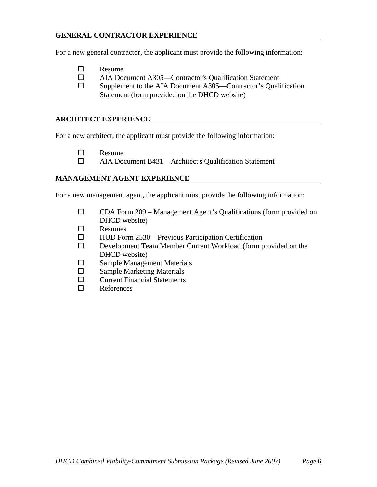#### **GENERAL CONTRACTOR EXPERIENCE**

For a new general contractor, the applicant must provide the following information:

- $\Box$  Resume
- AIA Document A305—Contractor's Qualification Statement
- $\square$  Supplement to the AIA Document A305—Contractor's Qualification Statement (form provided on the DHCD website)

#### **ARCHITECT EXPERIENCE**

For a new architect, the applicant must provide the following information:

- $\Box$  Resume
- AIA Document B431—Architect's Qualification Statement

#### **MANAGEMENT AGENT EXPERIENCE**

For a new management agent, the applicant must provide the following information:

- CDA Form 209 Management Agent's Qualifications (form provided on DHCD website)
- $\Box$  Resumes
- □ HUD Form 2530—Previous Participation Certification
- □ Development Team Member Current Workload (form provided on the DHCD website)
- □ Sample Management Materials
- $\square$  Sample Marketing Materials
- $\square$  Current Financial Statements
- References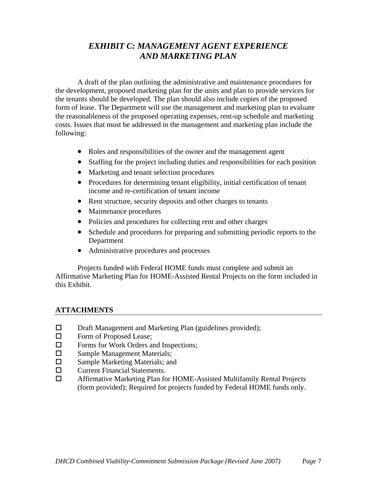## *EXHIBIT C: MANAGEMENT AGENT EXPERIENCE AND MARKETING PLAN*

A draft of the plan outlining the administrative and maintenance procedures for the development, proposed marketing plan for the units and plan to provide services for the tenants should be developed. The plan should also include copies of the proposed form of lease. The Department will use the management and marketing plan to evaluate the reasonableness of the proposed operating expenses, rent-up schedule and marketing costs. Issues that must be addressed in the management and marketing plan include the following:

- Roles and responsibilities of the owner and the management agent
- Staffing for the project including duties and responsibilities for each position
- Marketing and tenant selection procedures
- Procedures for determining tenant eligibility, initial certification of tenant income and re-certification of tenant income
- Rent structure, security deposits and other charges to tenants
- Maintenance procedures
- Policies and procedures for collecting rent and other charges
- Schedule and procedures for preparing and submitting periodic reports to the Department
- Administrative procedures and processes

Projects funded with Federal HOME funds must complete and submit an Affirmative Marketing Plan for HOME-Assisted Rental Projects on the form included in this Exhibit.

- $\square$  Draft Management and Marketing Plan (guidelines provided);
- □ Form of Proposed Lease;
- □ Forms for Work Orders and Inspections;
- □ Sample Management Materials;
- □ Sample Marketing Materials; and
- □ Current Financial Statements.
- Affirmative Marketing Plan for HOME-Assisted Multifamily Rental Projects (form provided); Required for projects funded by Federal HOME funds only.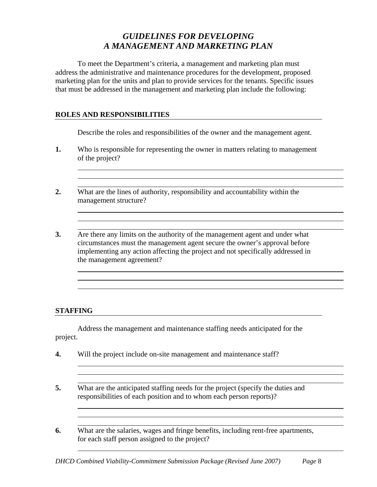## *GUIDELINES FOR DEVELOPING A MANAGEMENT AND MARKETING PLAN*

To meet the Department's criteria, a management and marketing plan must address the administrative and maintenance procedures for the development, proposed marketing plan for the units and plan to provide services for the tenants. Specific issues that must be addressed in the management and marketing plan include the following:

#### **ROLES AND RESPONSIBILITIES**

Describe the roles and responsibilities of the owner and the management agent.

- **1.** Who is responsible for representing the owner in matters relating to management of the project?
- **2.** What are the lines of authority, responsibility and accountability within the management structure?
- **3.** Are there any limits on the authority of the management agent and under what circumstances must the management agent secure the owner's approval before implementing any action affecting the project and not specifically addressed in the management agreement?

#### **STAFFING**

Address the management and maintenance staffing needs anticipated for the project.

- **4.** Will the project include on-site management and maintenance staff?
- **5.** What are the anticipated staffing needs for the project (specify the duties and responsibilities of each position and to whom each person reports)?
- **6.** What are the salaries, wages and fringe benefits, including rent-free apartments, for each staff person assigned to the project?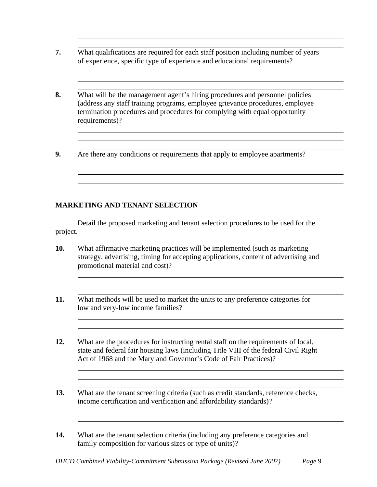- **7.** What qualifications are required for each staff position including number of years of experience, specific type of experience and educational requirements?
- **8.** What will be the management agent's hiring procedures and personnel policies (address any staff training programs, employee grievance procedures, employee termination procedures and procedures for complying with equal opportunity requirements)?
- **9.** Are there any conditions or requirements that apply to employee apartments?

#### **MARKETING AND TENANT SELECTION**

 Detail the proposed marketing and tenant selection procedures to be used for the project.

- **10.** What affirmative marketing practices will be implemented (such as marketing strategy, advertising, timing for accepting applications, content of advertising and promotional material and cost)?
- **11.** What methods will be used to market the units to any preference categories for low and very-low income families?

**12.** What are the procedures for instructing rental staff on the requirements of local, state and federal fair housing laws (including Title VIII of the federal Civil Right Act of 1968 and the Maryland Governor's Code of Fair Practices)?

**13.** What are the tenant screening criteria (such as credit standards, reference checks, income certification and verification and affordability standards)?

**14.** What are the tenant selection criteria (including any preference categories and family composition for various sizes or type of units)?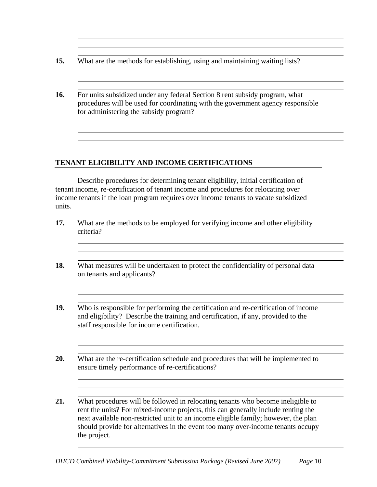| 15. |  |  | What are the methods for establishing, using and maintaining waiting lists? |  |  |  |  |
|-----|--|--|-----------------------------------------------------------------------------|--|--|--|--|
|-----|--|--|-----------------------------------------------------------------------------|--|--|--|--|

**16.** For units subsidized under any federal Section 8 rent subsidy program, what procedures will be used for coordinating with the government agency responsible for administering the subsidy program?

#### **TENANT ELIGIBILITY AND INCOME CERTIFICATIONS**

Describe procedures for determining tenant eligibility, initial certification of tenant income, re-certification of tenant income and procedures for relocating over income tenants if the loan program requires over income tenants to vacate subsidized units.

| What measures will be undertaken to protect the confidentiality of personal data<br>on tenants and applicants?                                                                                                         |
|------------------------------------------------------------------------------------------------------------------------------------------------------------------------------------------------------------------------|
| Who is responsible for performing the certification and re-certification of income<br>and eligibility? Describe the training and certification, if any, provided to the<br>staff responsible for income certification. |
| What are the re-certification schedule and procedures that will be implemented to<br>ensure timely performance of re-certifications?                                                                                   |

the project.

should provide for alternatives in the event too many over-income tenants occupy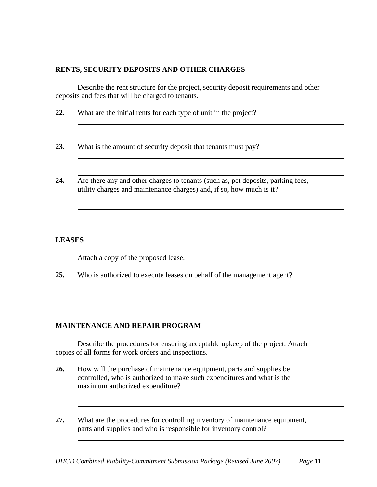#### **RENTS, SECURITY DEPOSITS AND OTHER CHARGES**

Describe the rent structure for the project, security deposit requirements and other deposits and fees that will be charged to tenants.

- **22.** What are the initial rents for each type of unit in the project?
- **23.** What is the amount of security deposit that tenants must pay?
- **24.** Are there any and other charges to tenants (such as, pet deposits, parking fees, utility charges and maintenance charges) and, if so, how much is it?

#### **LEASES**

Attach a copy of the proposed lease.

**25.** Who is authorized to execute leases on behalf of the management agent?

#### **MAINTENANCE AND REPAIR PROGRAM**

Describe the procedures for ensuring acceptable upkeep of the project. Attach copies of all forms for work orders and inspections.

- **26.** How will the purchase of maintenance equipment, parts and supplies be controlled, who is authorized to make such expenditures and what is the maximum authorized expenditure?
- **27.** What are the procedures for controlling inventory of maintenance equipment, parts and supplies and who is responsible for inventory control?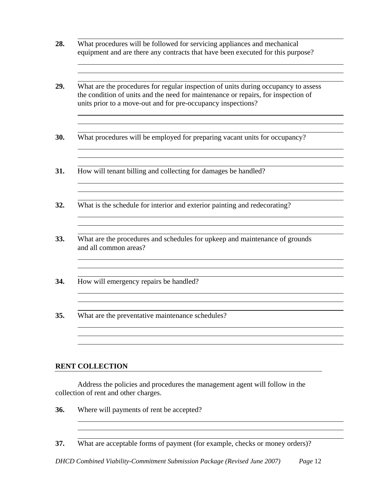- **28.** What procedures will be followed for servicing appliances and mechanical equipment and are there any contracts that have been executed for this purpose?
- **29.** What are the procedures for regular inspection of units during occupancy to assess the condition of units and the need for maintenance or repairs, for inspection of units prior to a move-out and for pre-occupancy inspections?
- **30.** What procedures will be employed for preparing vacant units for occupancy?

- **31.** How will tenant billing and collecting for damages be handled?
- **32.** What is the schedule for interior and exterior painting and redecorating?
- **33.** What are the procedures and schedules for upkeep and maintenance of grounds and all common areas?
- **34.** How will emergency repairs be handled?
- **35.** What are the preventative maintenance schedules?

#### **RENT COLLECTION**

Address the policies and procedures the management agent will follow in the collection of rent and other charges.

**36.** Where will payments of rent be accepted?

**37.** What are acceptable forms of payment (for example, checks or money orders)?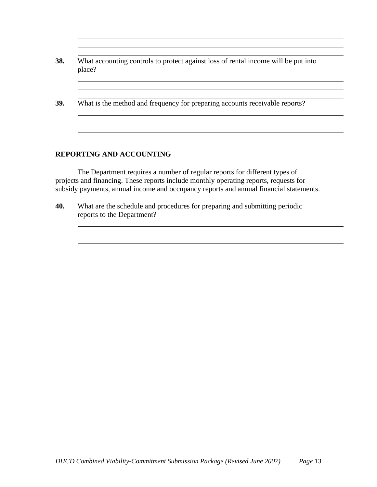#### **REPORTING AND ACCOUNTING**

The Department requires a number of regular reports for different types of projects and financing. These reports include monthly operating reports, requests for subsidy payments, annual income and occupancy reports and annual financial statements.

**40.** What are the schedule and procedures for preparing and submitting periodic reports to the Department?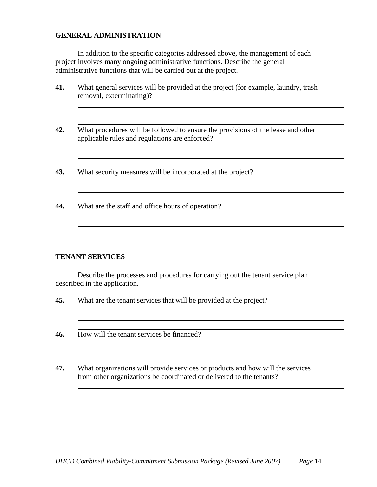#### **GENERAL ADMINISTRATION**

In addition to the specific categories addressed above, the management of each project involves many ongoing administrative functions. Describe the general administrative functions that will be carried out at the project.

| What general services will be provided at the project (for example, laundry, trash<br>removal, exterminating)?                     |
|------------------------------------------------------------------------------------------------------------------------------------|
|                                                                                                                                    |
| What procedures will be followed to ensure the provisions of the lease and other<br>applicable rules and regulations are enforced? |
|                                                                                                                                    |
| What security measures will be incorporated at the project?                                                                        |
|                                                                                                                                    |
| What are the staff and office hours of operation?                                                                                  |
|                                                                                                                                    |

#### **TENANT SERVICES**

Describe the processes and procedures for carrying out the tenant service plan described in the application.

**45.** What are the tenant services that will be provided at the project?

**46.** How will the tenant services be financed?

**47.** What organizations will provide services or products and how will the services from other organizations be coordinated or delivered to the tenants?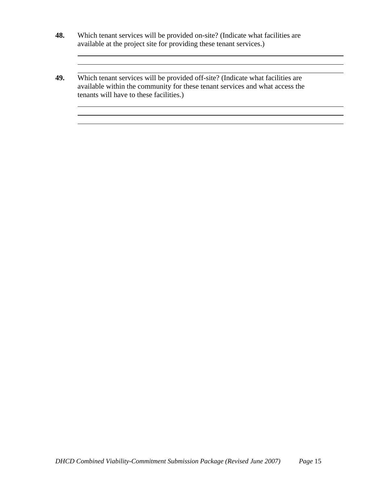- **48.** Which tenant services will be provided on-site? (Indicate what facilities are available at the project site for providing these tenant services.)
- **49.** Which tenant services will be provided off-site? (Indicate what facilities are available within the community for these tenant services and what access the tenants will have to these facilities.)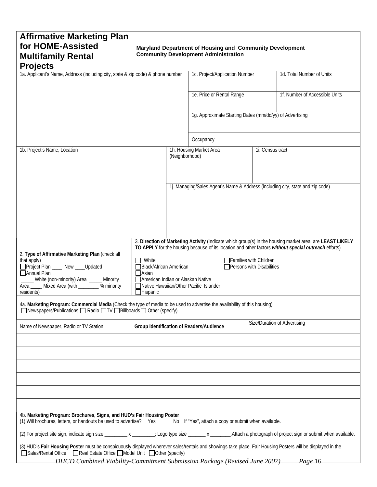| <b>Affirmative Marketing Plan</b>                                                                                                                                  |                                                                                                                            |                                                     |                                                                                |                 |                                                                                                         |  |  |  |
|--------------------------------------------------------------------------------------------------------------------------------------------------------------------|----------------------------------------------------------------------------------------------------------------------------|-----------------------------------------------------|--------------------------------------------------------------------------------|-----------------|---------------------------------------------------------------------------------------------------------|--|--|--|
| for HOME-Assisted                                                                                                                                                  |                                                                                                                            |                                                     | Maryland Department of Housing and Community Development                       |                 |                                                                                                         |  |  |  |
| <b>Multifamily Rental</b>                                                                                                                                          |                                                                                                                            |                                                     | <b>Community Development Administration</b>                                    |                 |                                                                                                         |  |  |  |
| <b>Projects</b><br>1a. Applicant's Name, Address (including city, state & zip code) & phone number                                                                 |                                                                                                                            |                                                     | 1c. Project/Application Number                                                 |                 | 1d. Total Number of Units                                                                               |  |  |  |
|                                                                                                                                                                    |                                                                                                                            |                                                     |                                                                                |                 |                                                                                                         |  |  |  |
|                                                                                                                                                                    |                                                                                                                            |                                                     | 1e. Price or Rental Range                                                      |                 | 1f. Number of Accessible Units                                                                          |  |  |  |
|                                                                                                                                                                    |                                                                                                                            |                                                     |                                                                                |                 |                                                                                                         |  |  |  |
|                                                                                                                                                                    |                                                                                                                            |                                                     | 1g. Approximate Starting Dates (mm/dd/yy) of Advertising                       |                 |                                                                                                         |  |  |  |
|                                                                                                                                                                    |                                                                                                                            |                                                     |                                                                                |                 |                                                                                                         |  |  |  |
|                                                                                                                                                                    |                                                                                                                            |                                                     |                                                                                |                 |                                                                                                         |  |  |  |
|                                                                                                                                                                    |                                                                                                                            |                                                     | Occupancy                                                                      |                 |                                                                                                         |  |  |  |
| 1b. Project's Name, Location                                                                                                                                       |                                                                                                                            | (Neighborhood)                                      | 1h. Housing Market Area                                                        | 1. Census tract |                                                                                                         |  |  |  |
|                                                                                                                                                                    |                                                                                                                            |                                                     |                                                                                |                 |                                                                                                         |  |  |  |
|                                                                                                                                                                    |                                                                                                                            |                                                     |                                                                                |                 |                                                                                                         |  |  |  |
|                                                                                                                                                                    |                                                                                                                            |                                                     | 1j. Managing/Sales Agent's Name & Address (including city, state and zip code) |                 |                                                                                                         |  |  |  |
|                                                                                                                                                                    |                                                                                                                            |                                                     |                                                                                |                 |                                                                                                         |  |  |  |
|                                                                                                                                                                    |                                                                                                                            |                                                     |                                                                                |                 |                                                                                                         |  |  |  |
|                                                                                                                                                                    |                                                                                                                            |                                                     |                                                                                |                 |                                                                                                         |  |  |  |
|                                                                                                                                                                    |                                                                                                                            |                                                     |                                                                                |                 |                                                                                                         |  |  |  |
|                                                                                                                                                                    |                                                                                                                            |                                                     |                                                                                |                 | 3. Direction of Marketing Activity (Indicate which group(s) in the housing market area are LEAST LIKELY |  |  |  |
| 2. Type of Affirmative Marketing Plan (check all                                                                                                                   |                                                                                                                            |                                                     |                                                                                |                 | TO APPLY for the housing because of its location and other factors without special outreach efforts)    |  |  |  |
| that apply)                                                                                                                                                        | White                                                                                                                      | Families with Children                              |                                                                                |                 |                                                                                                         |  |  |  |
| □Project Plan ___ New ____Updated<br>□ Annual Plan                                                                                                                 | <b>∆Asian</b>                                                                                                              | Black/African American<br>Persons with Disabilities |                                                                                |                 |                                                                                                         |  |  |  |
| _____ White (non-minority) Area _____ Minority<br>Area _____ Mixed Area (with _______ % minority                                                                   | American Indian or Alaskan Native                                                                                          |                                                     | Native Hawaiian/Other Pacific Islander                                         |                 |                                                                                                         |  |  |  |
| residents)                                                                                                                                                         | $\Box$ Hispanic                                                                                                            |                                                     |                                                                                |                 |                                                                                                         |  |  |  |
| 4a. Marketing Program: Commercial Media (Check the type of media to be used to advertise the availability of this housing)                                         |                                                                                                                            |                                                     |                                                                                |                 |                                                                                                         |  |  |  |
| ■Newspapers/Publications ■ Radio ■TV ■ Billboards ■ Other (specify)                                                                                                |                                                                                                                            |                                                     |                                                                                |                 |                                                                                                         |  |  |  |
| Name of Newspaper, Radio or TV Station                                                                                                                             |                                                                                                                            |                                                     | Group Identification of Readers/Audience                                       |                 | Size/Duration of Advertising                                                                            |  |  |  |
|                                                                                                                                                                    |                                                                                                                            |                                                     |                                                                                |                 |                                                                                                         |  |  |  |
|                                                                                                                                                                    |                                                                                                                            |                                                     |                                                                                |                 |                                                                                                         |  |  |  |
|                                                                                                                                                                    |                                                                                                                            |                                                     |                                                                                |                 |                                                                                                         |  |  |  |
|                                                                                                                                                                    |                                                                                                                            |                                                     |                                                                                |                 |                                                                                                         |  |  |  |
|                                                                                                                                                                    |                                                                                                                            |                                                     |                                                                                |                 |                                                                                                         |  |  |  |
|                                                                                                                                                                    |                                                                                                                            |                                                     |                                                                                |                 |                                                                                                         |  |  |  |
|                                                                                                                                                                    |                                                                                                                            |                                                     |                                                                                |                 |                                                                                                         |  |  |  |
| 4b. Marketing Program: Brochures, Signs, and HUD's Fair Housing Poster                                                                                             |                                                                                                                            |                                                     |                                                                                |                 |                                                                                                         |  |  |  |
|                                                                                                                                                                    | (1) Will brochures, letters, or handouts be used to advertise? Yes<br>No If "Yes", attach a copy or submit when available. |                                                     |                                                                                |                 |                                                                                                         |  |  |  |
| (2) For project site sign, indicate sign size _________ x ________; Logo type size _______ x _______.Attach a photograph of project sign or submit when available. |                                                                                                                            |                                                     |                                                                                |                 |                                                                                                         |  |  |  |
| (3) HUD's Fair Housing Poster must be conspicuously displayed wherever sales/rentals and showings take place. Fair Housing Posters will be displayed in the        |                                                                                                                            |                                                     |                                                                                |                 |                                                                                                         |  |  |  |
| □Sales/Rental Office    Real Estate Office ■ Model Unit   Dther (specify)                                                                                          |                                                                                                                            |                                                     |                                                                                |                 |                                                                                                         |  |  |  |
| DHCD Combined Viability-Commitment Submission Package (Revised June 2007)<br>Page 16                                                                               |                                                                                                                            |                                                     |                                                                                |                 |                                                                                                         |  |  |  |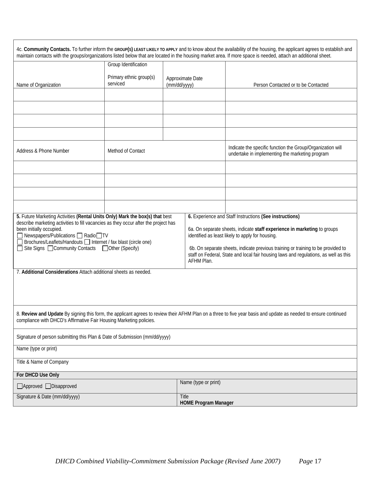|                                                                                                                                                                                                                                                                                                                                                                                                                                                                                                                                                                                                                                                                                                                                                    |          |  | 4c. Community Contacts. To further inform the GROUP(S) LEAST LIKELY TO APPLY and to know about the availability of the housing, the applicant agrees to establish and                                                      |  |  |  |  |
|----------------------------------------------------------------------------------------------------------------------------------------------------------------------------------------------------------------------------------------------------------------------------------------------------------------------------------------------------------------------------------------------------------------------------------------------------------------------------------------------------------------------------------------------------------------------------------------------------------------------------------------------------------------------------------------------------------------------------------------------------|----------|--|----------------------------------------------------------------------------------------------------------------------------------------------------------------------------------------------------------------------------|--|--|--|--|
| Group Identification                                                                                                                                                                                                                                                                                                                                                                                                                                                                                                                                                                                                                                                                                                                               |          |  |                                                                                                                                                                                                                            |  |  |  |  |
| Primary ethnic group(s)                                                                                                                                                                                                                                                                                                                                                                                                                                                                                                                                                                                                                                                                                                                            |          |  |                                                                                                                                                                                                                            |  |  |  |  |
|                                                                                                                                                                                                                                                                                                                                                                                                                                                                                                                                                                                                                                                                                                                                                    |          |  | Person Contacted or to be Contacted                                                                                                                                                                                        |  |  |  |  |
|                                                                                                                                                                                                                                                                                                                                                                                                                                                                                                                                                                                                                                                                                                                                                    |          |  |                                                                                                                                                                                                                            |  |  |  |  |
|                                                                                                                                                                                                                                                                                                                                                                                                                                                                                                                                                                                                                                                                                                                                                    |          |  |                                                                                                                                                                                                                            |  |  |  |  |
|                                                                                                                                                                                                                                                                                                                                                                                                                                                                                                                                                                                                                                                                                                                                                    |          |  |                                                                                                                                                                                                                            |  |  |  |  |
|                                                                                                                                                                                                                                                                                                                                                                                                                                                                                                                                                                                                                                                                                                                                                    |          |  |                                                                                                                                                                                                                            |  |  |  |  |
| Method of Contact                                                                                                                                                                                                                                                                                                                                                                                                                                                                                                                                                                                                                                                                                                                                  |          |  | Indicate the specific function the Group/Organization will<br>undertake in implementing the marketing program                                                                                                              |  |  |  |  |
|                                                                                                                                                                                                                                                                                                                                                                                                                                                                                                                                                                                                                                                                                                                                                    |          |  |                                                                                                                                                                                                                            |  |  |  |  |
|                                                                                                                                                                                                                                                                                                                                                                                                                                                                                                                                                                                                                                                                                                                                                    |          |  |                                                                                                                                                                                                                            |  |  |  |  |
|                                                                                                                                                                                                                                                                                                                                                                                                                                                                                                                                                                                                                                                                                                                                                    |          |  |                                                                                                                                                                                                                            |  |  |  |  |
|                                                                                                                                                                                                                                                                                                                                                                                                                                                                                                                                                                                                                                                                                                                                                    |          |  |                                                                                                                                                                                                                            |  |  |  |  |
| 6. Experience and Staff Instructions (See instructions)<br>5. Future Marketing Activities (Rental Units Only) Mark the box(s) that best<br>describe marketing activities to fill vacancies as they occur after the project has<br>been initially occupied.<br>6a. On separate sheets, indicate staff experience in marketing to groups<br>□ Newspapers/Publications □ Radio□TV<br>identified as least likely to apply for housing.<br>Brochures/Leaflets/Handouts Internet / fax blast (circle one)<br>Site Signs □ Community Contacts □ Other (Specify)<br>6b. On separate sheets, indicate previous training or training to be provided to<br>staff on Federal, State and local fair housing laws and regulations, as well as this<br>AFHM Plan. |          |  |                                                                                                                                                                                                                            |  |  |  |  |
| 7. Additional Considerations Attach additional sheets as needed.                                                                                                                                                                                                                                                                                                                                                                                                                                                                                                                                                                                                                                                                                   |          |  |                                                                                                                                                                                                                            |  |  |  |  |
|                                                                                                                                                                                                                                                                                                                                                                                                                                                                                                                                                                                                                                                                                                                                                    |          |  |                                                                                                                                                                                                                            |  |  |  |  |
| 8. Review and Update By signing this form, the applicant agrees to review their AFHM Plan on a three to five year basis and update as needed to ensure continued<br>compliance with DHCD's Affirmative Fair Housing Marketing policies.                                                                                                                                                                                                                                                                                                                                                                                                                                                                                                            |          |  |                                                                                                                                                                                                                            |  |  |  |  |
| Signature of person submitting this Plan & Date of Submission (mm/dd/yyyy)                                                                                                                                                                                                                                                                                                                                                                                                                                                                                                                                                                                                                                                                         |          |  |                                                                                                                                                                                                                            |  |  |  |  |
| Name (type or print)                                                                                                                                                                                                                                                                                                                                                                                                                                                                                                                                                                                                                                                                                                                               |          |  |                                                                                                                                                                                                                            |  |  |  |  |
| Title & Name of Company                                                                                                                                                                                                                                                                                                                                                                                                                                                                                                                                                                                                                                                                                                                            |          |  |                                                                                                                                                                                                                            |  |  |  |  |
|                                                                                                                                                                                                                                                                                                                                                                                                                                                                                                                                                                                                                                                                                                                                                    |          |  |                                                                                                                                                                                                                            |  |  |  |  |
|                                                                                                                                                                                                                                                                                                                                                                                                                                                                                                                                                                                                                                                                                                                                                    |          |  |                                                                                                                                                                                                                            |  |  |  |  |
| Signature & Date (mm/dd/yyyy)<br>Title<br><b>HOME Program Manager</b>                                                                                                                                                                                                                                                                                                                                                                                                                                                                                                                                                                                                                                                                              |          |  |                                                                                                                                                                                                                            |  |  |  |  |
|                                                                                                                                                                                                                                                                                                                                                                                                                                                                                                                                                                                                                                                                                                                                                    | serviced |  | maintain contacts with the groups/organizations listed below that are located in the housing market area. If more space is needed, attach an additional sheet.<br>Approximate Date<br>(mm/dd/yyyy)<br>Name (type or print) |  |  |  |  |

 $\overline{1}$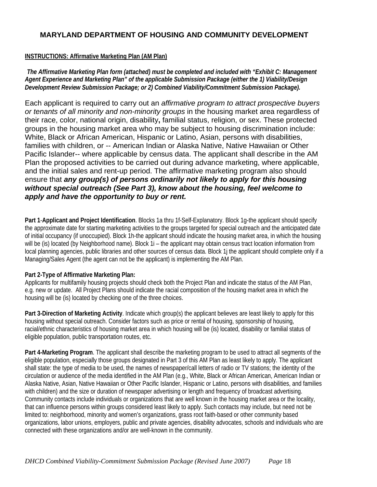#### **MARYLAND DEPARTMENT OF HOUSING AND COMMUNITY DEVELOPMENT**

#### **INSTRUCTIONS: Affirmative Marketing Plan (AM Plan)**

*The Affirmative Marketing Plan form (attached) must be completed and included with "Exhibit C: Management Agent Experience and Marketing Plan" of the applicable Submission Package (either the 1) Viability/Design Development Review Submission Package; or 2) Combined Viability/Commitment Submission Package).* 

Each applicant is required to carry out an *affirmative program to attract prospective buyers or tenants of all minority and non-minority groups* in the housing market area regardless of their race, color, national origin, disability**,** familial status, religion, or sex. These protected groups in the housing market area who may be subject to housing discrimination include: White, Black or African American, Hispanic or Latino, Asian, persons with disabilities, families with children, or -- American Indian or Alaska Native, Native Hawaiian or Other Pacific Islander-- where applicable by census data. The applicant shall describe in the AM Plan the proposed activities to be carried out during advance marketing, where applicable, and the initial sales and rent-up period. The affirmative marketing program also should ensure that *any group(s) of persons ordinarily not likely to apply for this housing without special outreach (See Part 3), know about the housing, feel welcome to apply and have the opportunity to buy or rent.* 

**Part 1**-**Applicant and Project Identification**. Blocks 1a thru 1f-Self-Explanatory. Block 1g-the applicant should specify the approximate date for starting marketing activities to the groups targeted for special outreach and the anticipated date of initial occupancy (if unoccupied). Block 1h-the applicant should indicate the housing market area, in which the housing will be (is) located (by Neighborhood name). Block 1i – the applicant may obtain census tract location information from local planning agencies, public libraries and other sources of census data. Block 1i the applicant should complete only if a Managing/Sales Agent (the agent can not be the applicant) is implementing the AM Plan.

#### **Part 2-Type of Affirmative Marketing Plan:**

Applicants for multifamily housing projects should check both the Project Plan and indicate the status of the AM Plan, e.g. new or update. All Project Plans should indicate the racial composition of the housing market area in which the housing will be (is) located by checking one of the three choices.

**Part 3-Direction of Marketing Activity**. Indicate which group(s) the applicant believes are least likely to apply for this housing without special outreach. Consider factors such as price or rental of housing, sponsorship of housing, racial/ethnic characteristics of housing market area in which housing will be (is) located, disability or familial status of eligible population, public transportation routes, etc.

**Part 4-Marketing Program**. The applicant shall describe the marketing program to be used to attract all segments of the eligible population, especially those groups designated in Part 3 of this AM Plan as least likely to apply. The applicant shall state: the type of media to be used, the names of newspaper/call letters of radio or TV stations; the identity of the circulation or audience of the media identified in the AM Plan (e.g., White, Black or African American, American Indian or Alaska Native, Asian, Native Hawaiian or Other Pacific Islander, Hispanic or Latino, persons with disabilities, and families with children) and the size or duration of newspaper advertising or length and frequency of broadcast advertising. Community contacts include individuals or organizations that are well known in the housing market area or the locality, that can influence persons within groups considered least likely to apply. Such contacts may include, but need not be limited to: neighborhood, minority and women's organizations, grass root faith-based or other community based organizations, labor unions, employers, public and private agencies, disability advocates, schools and individuals who are connected with these organizations and/or are well-known in the community.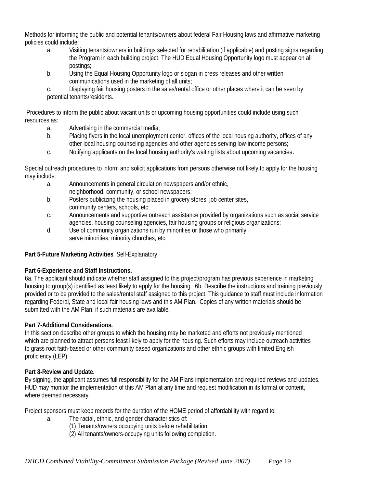Methods for informing the public and potential tenants/owners about federal Fair Housing laws and affirmative marketing policies could include:

- a. Visiting tenants/owners in buildings selected for rehabilitation (if applicable) and posting signs regarding the Program in each building project. The HUD Equal Housing Opportunity logo must appear on all postings;
- b. Using the Equal Housing Opportunity logo or slogan in press releases and other written communications used in the marketing of all units;

c. Displaying fair housing posters in the sales/rental office or other places where it can be seen by potential tenants/residents.

Procedures to inform the public about vacant units or upcoming housing opportunities could include using such resources as:

- a. Advertising in the commercial media;
- b. Placing flyers in the local unemployment center, offices of the local housing authority, offices of any other local housing counseling agencies and other agencies serving low-income persons;
- c. Notifying applicants on the local housing authority's waiting lists about upcoming vacancies.

Special outreach procedures to inform and solicit applications from persons otherwise not likely to apply for the housing may include:

- a. Announcements in general circulation newspapers and/or ethnic, neighborhood, community, or school newspapers;
- b. Posters publicizing the housing placed in grocery stores, job center sites, community centers, schools, etc;
- c. Announcements and supportive outreach assistance provided by organizations such as social service agencies, housing counseling agencies, fair housing groups or religious organizations;
- d. Use of community organizations run by minorities or those who primarily serve minorities, minority churches, etc.

#### **Part 5-Future Marketing Activities**. Self-Explanatory.

#### **Part 6-Experience and Staff Instructions.**

6a. The applicant should indicate whether staff assigned to this project/program has previous experience in marketing housing to group(s) identified as least likely to apply for the housing. 6b. Describe the instructions and training previously provided or to be provided to the sales/rental staff assigned to this project. This guidance to staff must include information regarding Federal, State and local fair housing laws and this AM Plan. Copies of any written materials should be submitted with the AM Plan, if such materials are available.

#### **Part 7-Additional Considerations.**

In this section describe other groups to which the housing may be marketed and efforts not previously mentioned which are planned to attract persons least likely to apply for the housing. Such efforts may include outreach activities to grass root faith-based or other community based organizations and other ethnic groups with limited English proficiency (LEP).

#### **Part 8-Review and Update.**

By signing, the applicant assumes full responsibility for the AM Plans implementation and required reviews and updates. HUD may monitor the implementation of this AM Plan at any time and request modification in its format or content, where deemed necessary.

Project sponsors must keep records for the duration of the HOME period of affordability with regard to:

- a. The racial, ethnic, and gender characteristics of:
	- (1) Tenants/owners occupying units before rehabilitation;
	- (2) All tenants/owners-occupying units following completion.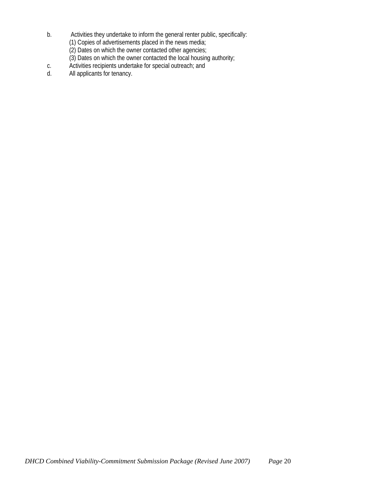- b. Activities they undertake to inform the general renter public, specifically:
	- (1) Copies of advertisements placed in the news media;
	- (2) Dates on which the owner contacted other agencies;
	- (3) Dates on which the owner contacted the local housing authority;
- c. Activities recipients undertake for special outreach; and<br>d. All applicants for tenancy.
- All applicants for tenancy.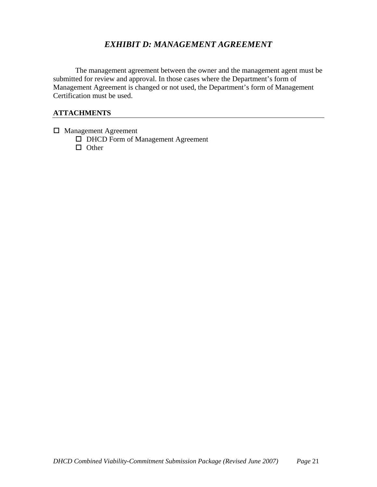## *EXHIBIT D: MANAGEMENT AGREEMENT*

The management agreement between the owner and the management agent must be submitted for review and approval. In those cases where the Department's form of Management Agreement is changed or not used, the Department's form of Management Certification must be used.

- □ Management Agreement
	- □ DHCD Form of Management Agreement  $\Box$  Other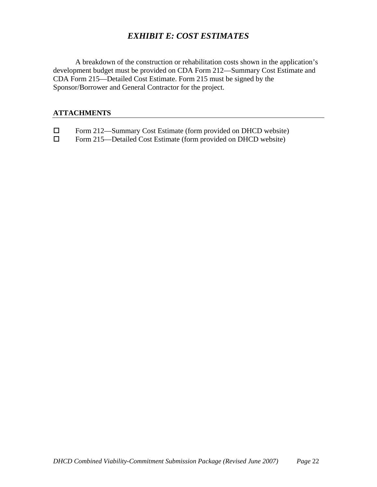## *EXHIBIT E: COST ESTIMATES*

A breakdown of the construction or rehabilitation costs shown in the application's development budget must be provided on CDA Form 212—Summary Cost Estimate and CDA Form 215—Detailed Cost Estimate. Form 215 must be signed by the Sponsor/Borrower and General Contractor for the project.

- □ Form 212—Summary Cost Estimate (form provided on DHCD website)<br>□ Form 215—Detailed Cost Estimate (form provided on DHCD website)
- Form 215—Detailed Cost Estimate (form provided on DHCD website)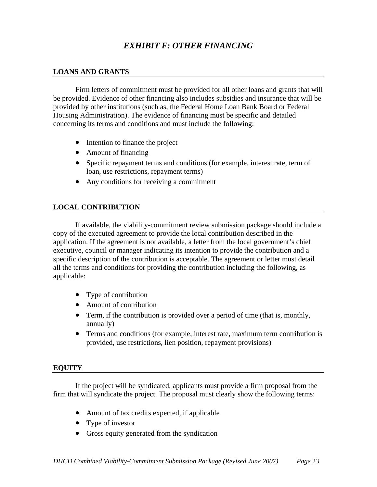## *EXHIBIT F: OTHER FINANCING*

#### **LOANS AND GRANTS**

Firm letters of commitment must be provided for all other loans and grants that will be provided. Evidence of other financing also includes subsidies and insurance that will be provided by other institutions (such as, the Federal Home Loan Bank Board or Federal Housing Administration). The evidence of financing must be specific and detailed concerning its terms and conditions and must include the following:

- Intention to finance the project
- Amount of financing
- Specific repayment terms and conditions (for example, interest rate, term of loan, use restrictions, repayment terms)
- Any conditions for receiving a commitment

#### **LOCAL CONTRIBUTION**

If available, the viability-commitment review submission package should include a copy of the executed agreement to provide the local contribution described in the application. If the agreement is not available, a letter from the local government's chief executive, council or manager indicating its intention to provide the contribution and a specific description of the contribution is acceptable. The agreement or letter must detail all the terms and conditions for providing the contribution including the following, as applicable:

- Type of contribution
- Amount of contribution
- Term, if the contribution is provided over a period of time (that is, monthly, annually)
- Terms and conditions (for example, interest rate, maximum term contribution is provided, use restrictions, lien position, repayment provisions)

#### **EQUITY**

If the project will be syndicated, applicants must provide a firm proposal from the firm that will syndicate the project. The proposal must clearly show the following terms:

- Amount of tax credits expected, if applicable
- Type of investor
- Gross equity generated from the syndication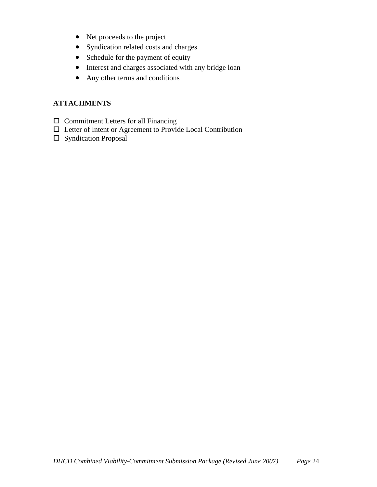- Net proceeds to the project
- Syndication related costs and charges
- Schedule for the payment of equity
- Interest and charges associated with any bridge loan
- Any other terms and conditions

- $\square$  Commitment Letters for all Financing
- Letter of Intent or Agreement to Provide Local Contribution
- Syndication Proposal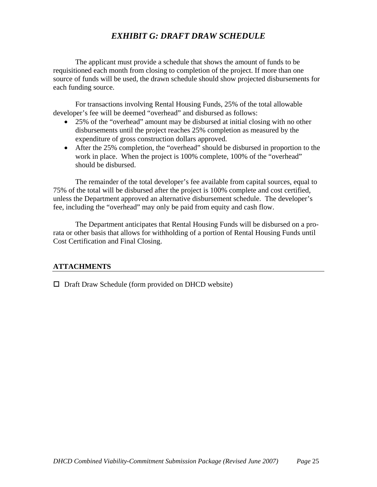## *EXHIBIT G: DRAFT DRAW SCHEDULE*

The applicant must provide a schedule that shows the amount of funds to be requisitioned each month from closing to completion of the project. If more than one source of funds will be used, the drawn schedule should show projected disbursements for each funding source.

For transactions involving Rental Housing Funds, 25% of the total allowable developer's fee will be deemed "overhead" and disbursed as follows:

- 25% of the "overhead" amount may be disbursed at initial closing with no other disbursements until the project reaches 25% completion as measured by the expenditure of gross construction dollars approved.
- After the 25% completion, the "overhead" should be disbursed in proportion to the work in place. When the project is 100% complete, 100% of the "overhead" should be disbursed.

The remainder of the total developer's fee available from capital sources, equal to 75% of the total will be disbursed after the project is 100% complete and cost certified, unless the Department approved an alternative disbursement schedule. The developer's fee, including the "overhead" may only be paid from equity and cash flow.

The Department anticipates that Rental Housing Funds will be disbursed on a prorata or other basis that allows for withholding of a portion of Rental Housing Funds until Cost Certification and Final Closing.

#### **ATTACHMENTS**

 $\Box$  Draft Draw Schedule (form provided on DHCD website)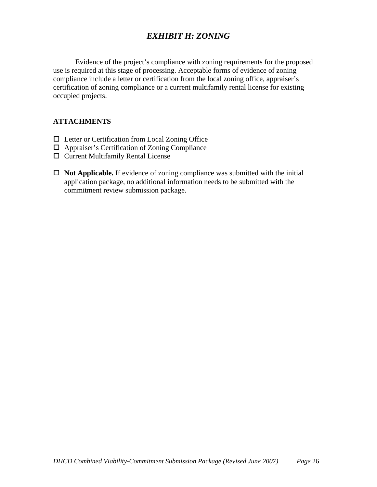## *EXHIBIT H: ZONING*

Evidence of the project's compliance with zoning requirements for the proposed use is required at this stage of processing. Acceptable forms of evidence of zoning compliance include a letter or certification from the local zoning office, appraiser's certification of zoning compliance or a current multifamily rental license for existing occupied projects.

- $\Box$  Letter or Certification from Local Zoning Office
- Appraiser's Certification of Zoning Compliance
- Current Multifamily Rental License
- $\Box$  **Not Applicable.** If evidence of zoning compliance was submitted with the initial application package, no additional information needs to be submitted with the commitment review submission package.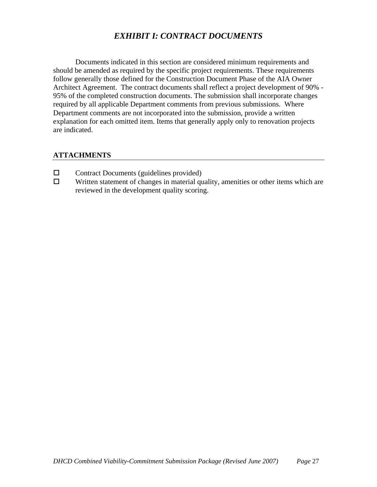## *EXHIBIT I: CONTRACT DOCUMENTS*

Documents indicated in this section are considered minimum requirements and should be amended as required by the specific project requirements. These requirements follow generally those defined for the Construction Document Phase of the AIA Owner Architect Agreement. The contract documents shall reflect a project development of 90% - 95% of the completed construction documents. The submission shall incorporate changes required by all applicable Department comments from previous submissions. Where Department comments are not incorporated into the submission, provide a written explanation for each omitted item. Items that generally apply only to renovation projects are indicated.

- $\Box$  Contract Documents (guidelines provided)
- $\Box$  Written statement of changes in material quality, amenities or other items which are reviewed in the development quality scoring.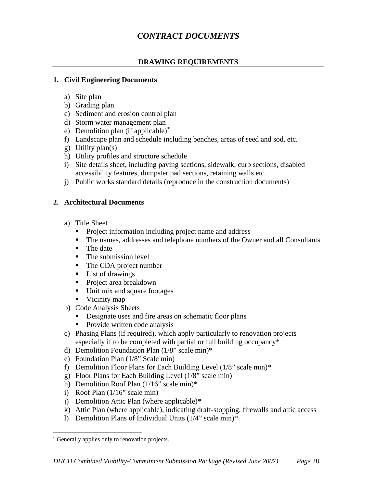## *CONTRACT DOCUMENTS*

#### **DRAWING REQUIREMENTS**

#### **1. Civil Engineering Documents**

- a) Site plan
- b) Grading plan
- c) Sediment and erosion control plan
- d) Storm water management plan
- e) Demolition plan (if applicable)[\\*](#page-28-0)
- f) Landscape plan and schedule including benches, areas of seed and sod, etc.
- g) Utility plan(s)
- h) Utility profiles and structure schedule
- i) Site details sheet, including paving sections, sidewalk, curb sections, disabled accessibility features, dumpster pad sections, retaining walls etc.
- j) Public works standard details (reproduce in the construction documents)

#### **2. Architectural Documents**

- a) Title Sheet
	- **Project information including project name and address**
	- The names, addresses and telephone numbers of the Owner and all Consultants
	- The date
	- The submission level
	- The CDA project number
	- List of drawings
	- Project area breakdown
	- Unit mix and square footages
	- Vicinity map
- b) Code Analysis Sheets
	- Designate uses and fire areas on schematic floor plans
	- Provide written code analysis
- c) Phasing Plans (if required), which apply particularly to renovation projects especially if to be completed with partial or full building occupancy\*
- d) Demolition Foundation Plan (1/8" scale min)\*
- e) Foundation Plan (1/8" Scale min)
- f) Demolition Floor Plans for Each Building Level (1/8" scale min)\*
- g) Floor Plans for Each Building Level (1/8" scale min)
- h) Demolition Roof Plan (1/16" scale min)\*
- i) Roof Plan  $(1/16$ " scale min)
- j) Demolition Attic Plan (where applicable)\*
- k) Attic Plan (where applicable), indicating draft-stopping, firewalls and attic access
- l) Demolition Plans of Individual Units (1/4" scale min)\*

<span id="page-28-0"></span> $\overline{a}$ Generally applies only to renovation projects.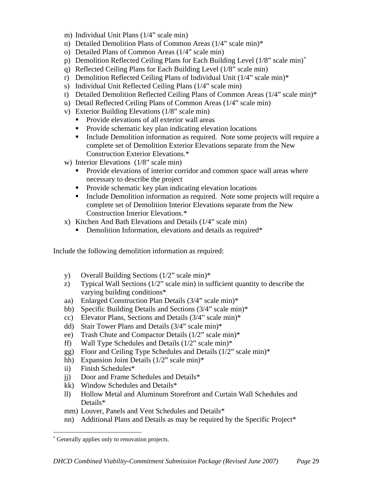- m) Individual Unit Plans (1/4" scale min)
- n) Detailed Demolition Plans of Common Areas (1/4" scale min)\*
- o) Detailed Plans of Common Areas (1/4" scale min)
- p) Demolition Reflected Ceiling Plans for Each Building Level (1/8" scale min)[\\*](#page-29-0)
- q) Reflected Ceiling Plans for Each Building Level (1/8" scale min)
- r) Demolition Reflected Ceiling Plans of Individual Unit (1/4" scale min)\*
- s) Individual Unit Reflected Ceiling Plans (1/4" scale min)
- t) Detailed Demolition Reflected Ceiling Plans of Common Areas (1/4" scale min)\*
- u) Detail Reflected Ceiling Plans of Common Areas (1/4" scale min)
- v) Exterior Building Elevations (1/8" scale min)
	- Provide elevations of all exterior wall areas
	- **Provide schematic key plan indicating elevation locations**
	- Include Demolition information as required. Note some projects will require a complete set of Demolition Exterior Elevations separate from the New Construction Exterior Elevations.\*
- w) Interior Elevations (1/8" scale min)
	- **Provide elevations of interior corridor and common space wall areas where** necessary to describe the project
	- **Provide schematic key plan indicating elevation locations**
	- Include Demolition information as required. Note some projects will require a complete set of Demolition Interior Elevations separate from the New Construction Interior Elevations.\*
- x) Kitchen And Bath Elevations and Details (1/4" scale min)
	- Demolition Information, elevations and details as required\*

Include the following demolition information as required:

- y) Overall Building Sections (1/2" scale min)\*
- z) Typical Wall Sections (1/2" scale min) in sufficient quantity to describe the varying building conditions\*
- aa) Enlarged Construction Plan Details (3/4" scale min)\*
- bb) Specific Building Details and Sections (3/4" scale min)\*
- cc) Elevator Plans, Sections and Details (3/4" scale min)\*
- dd) Stair Tower Plans and Details (3/4" scale min)\*
- ee) Trash Chute and Compactor Details (1/2" scale min)\*
- ff) Wall Type Schedules and Details  $(1/2)$  scale min)\*
- gg) Floor and Ceiling Type Schedules and Details (1/2" scale min)\*
- hh) Expansion Joint Details  $(1/2)$  scale min)\*
- ii) Finish Schedules\*
- jj) Door and Frame Schedules and Details\*
- kk) Window Schedules and Details\*
- ll) Hollow Metal and Aluminum Storefront and Curtain Wall Schedules and Details\*
- mm) Louver, Panels and Vent Schedules and Details\*
- nn) Additional Plans and Details as may be required by the Specific Project\*

 $\overline{a}$ 

<span id="page-29-0"></span>Generally applies only to renovation projects.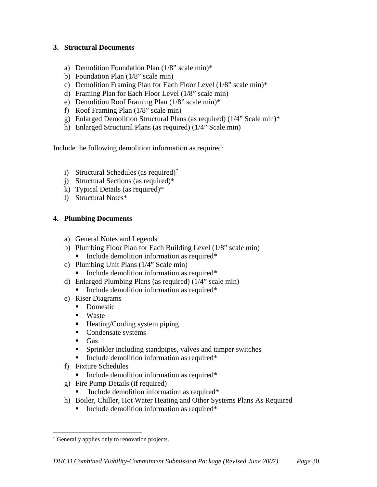#### **3. Structural Documents**

- a) Demolition Foundation Plan (1/8" scale min)\*
- b) Foundation Plan (1/8" scale min)
- c) Demolition Framing Plan for Each Floor Level (1/8" scale min)\*
- d) Framing Plan for Each Floor Level (1/8" scale min)
- e) Demolition Roof Framing Plan (1/8" scale min)\*
- f) Roof Framing Plan (1/8" scale min)
- g) Enlarged Demolition Structural Plans (as required) (1/4" Scale min)\*
- h) Enlarged Structural Plans (as required) (1/4" Scale min)

Include the following demolition information as required:

- i) Structural Schedules (as required)[\\*](#page-30-0)
- j) Structural Sections (as required)\*
- k) Typical Details (as required)\*
- l) Structural Notes\*

#### **4. Plumbing Documents**

- a) General Notes and Legends
- b) Plumbing Floor Plan for Each Building Level (1/8" scale min)
	- Include demolition information as required\*
- c) Plumbing Unit Plans (1/4" Scale min)
	- **Include demolition information as required\***
- d) Enlarged Plumbing Plans (as required) (1/4" scale min)
	- $\blacksquare$  Include demolition information as required\*
- e) Riser Diagrams
	- Domestic
	- Waste
	- Heating/Cooling system piping
	- Condensate systems
	- $\blacksquare$  Gas
	- Sprinkler including standpipes, valves and tamper switches
	- Include demolition information as required\*
- f) Fixture Schedules
	- Include demolition information as required\*
- g) Fire Pump Details (if required)
	- Include demolition information as required\*
- h) Boiler, Chiller, Hot Water Heating and Other Systems Plans As Required
	- Include demolition information as required<sup>\*</sup>

<span id="page-30-0"></span> $\overline{a}$ Generally applies only to renovation projects.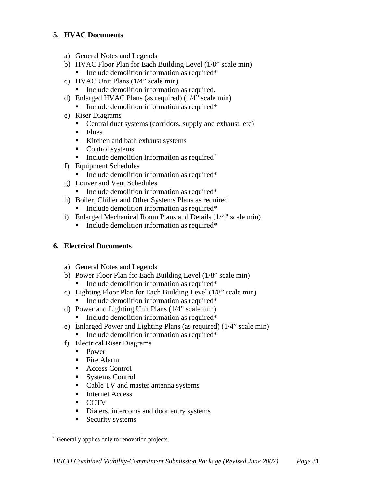#### **5. HVAC Documents**

- a) General Notes and Legends
- b) HVAC Floor Plan for Each Building Level (1/8" scale min) Include demolition information as required\*
- c) HVAC Unit Plans (1/4" scale min)
	- Include demolition information as required.
- d) Enlarged HVAC Plans (as required) (1/4" scale min)
	- Include demolition information as required\*
- e) Riser Diagrams
	- Central duct systems (corridors, supply and exhaust, etc)
	- $\blacksquare$  Flues
	- Kitchen and bath exhaust systems
	- Control systems
	- $\blacksquare$  Include demolition information as required<sup>[\\*](#page-31-0)</sup>
- f) Equipment Schedules
	- **Include demolition information as required\***
- g) Louver and Vent Schedules
	- Include demolition information as required\*
- h) Boiler, Chiller and Other Systems Plans as required
	- **Include demolition information as required\***
- i) Enlarged Mechanical Room Plans and Details (1/4" scale min)
	- $\blacksquare$  Include demolition information as required\*

#### **6. Electrical Documents**

- a) General Notes and Legends
- b) Power Floor Plan for Each Building Level (1/8" scale min) Include demolition information as required\*
- c) Lighting Floor Plan for Each Building Level (1/8" scale min)
	- Include demolition information as required\*
- d) Power and Lighting Unit Plans (1/4" scale min)
	- **Include demolition information as required\***
- e) Enlarged Power and Lighting Plans (as required) (1/4" scale min)
	- Include demolition information as required\*
- f) Electrical Riser Diagrams
	- **Power**
	- $\blacksquare$  Fire Alarm
	- Access Control
	- Systems Control
	- Cable TV and master antenna systems
	- Internet Access
	- **CCTV**
	- Dialers, intercoms and door entry systems
	- Security systems

<span id="page-31-0"></span> $\overline{a}$ Generally applies only to renovation projects.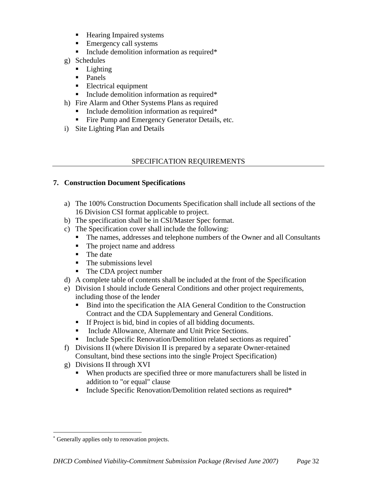- Hearing Impaired systems
- **Emergency call systems**
- **Include demolition information as required\***
- g) Schedules
	- **Lighting**
	- Panels
	- **Electrical equipment**
	- **Include demolition information as required\***
- h) Fire Alarm and Other Systems Plans as required
	- Include demolition information as required\*
	- Fire Pump and Emergency Generator Details, etc.
- i) Site Lighting Plan and Details

#### SPECIFICATION REQUIREMENTS

#### **7. Construction Document Specifications**

- a) The 100% Construction Documents Specification shall include all sections of the 16 Division CSI format applicable to project.
- b) The specification shall be in CSI/Master Spec format.
- c) The Specification cover shall include the following:
	- The names, addresses and telephone numbers of the Owner and all Consultants
	- The project name and address
	- The date
	- $\blacksquare$  The submissions level
	- The CDA project number
- d) A complete table of contents shall be included at the front of the Specification
- e) Division I should include General Conditions and other project requirements, including those of the lender
	- Bind into the specification the AIA General Condition to the Construction Contract and the CDA Supplementary and General Conditions.
	- If Project is bid, bind in copies of all bidding documents.
	- **Include Allowance, Alternate and Unit Price Sections.**
	- Include Specific Renovation/Demolition related sections as required[\\*](#page-32-0)
- f) Divisions II (where Division II is prepared by a separate Owner-retained Consultant, bind these sections into the single Project Specification)
- g) Divisions II through XVI
	- When products are specified three or more manufacturers shall be listed in addition to "or equal" clause
	- Include Specific Renovation/Demolition related sections as required<sup>\*</sup>

<span id="page-32-0"></span> $\overline{a}$ Generally applies only to renovation projects.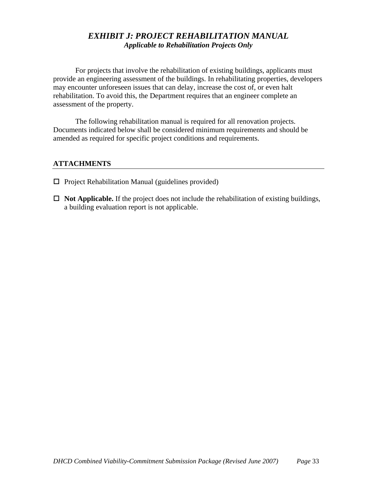## *EXHIBIT J: PROJECT REHABILITATION MANUAL Applicable to Rehabilitation Projects Only*

For projects that involve the rehabilitation of existing buildings, applicants must provide an engineering assessment of the buildings. In rehabilitating properties, developers may encounter unforeseen issues that can delay, increase the cost of, or even halt rehabilitation. To avoid this, the Department requires that an engineer complete an assessment of the property.

The following rehabilitation manual is required for all renovation projects. Documents indicated below shall be considered minimum requirements and should be amended as required for specific project conditions and requirements.

- $\Box$  Project Rehabilitation Manual (guidelines provided)
- $\Box$  **Not Applicable.** If the project does not include the rehabilitation of existing buildings, a building evaluation report is not applicable.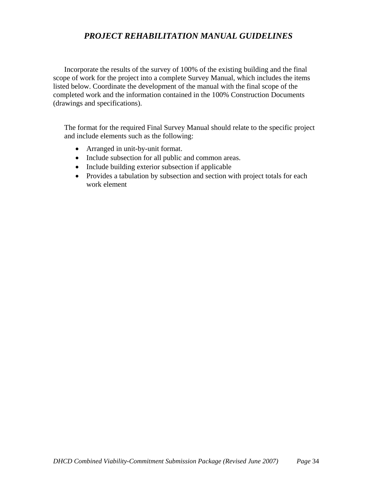## *PROJECT REHABILITATION MANUAL GUIDELINES*

Incorporate the results of the survey of 100% of the existing building and the final scope of work for the project into a complete Survey Manual, which includes the items listed below. Coordinate the development of the manual with the final scope of the completed work and the information contained in the 100% Construction Documents (drawings and specifications).

The format for the required Final Survey Manual should relate to the specific project and include elements such as the following:

- Arranged in unit-by-unit format.
- Include subsection for all public and common areas.
- Include building exterior subsection if applicable
- Provides a tabulation by subsection and section with project totals for each work element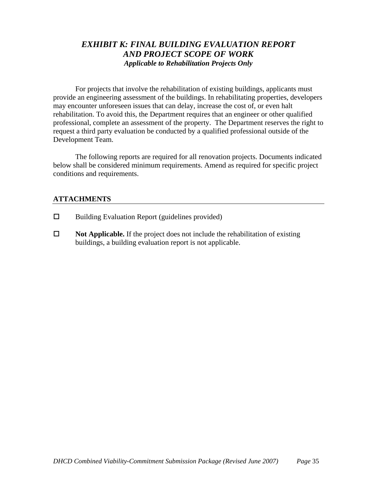## *EXHIBIT K: FINAL BUILDING EVALUATION REPORT AND PROJECT SCOPE OF WORK Applicable to Rehabilitation Projects Only*

For projects that involve the rehabilitation of existing buildings, applicants must provide an engineering assessment of the buildings. In rehabilitating properties, developers may encounter unforeseen issues that can delay, increase the cost of, or even halt rehabilitation. To avoid this, the Department requires that an engineer or other qualified professional, complete an assessment of the property. The Department reserves the right to request a third party evaluation be conducted by a qualified professional outside of the Development Team.

The following reports are required for all renovation projects. Documents indicated below shall be considered minimum requirements. Amend as required for specific project conditions and requirements.

- $\square$  Building Evaluation Report (guidelines provided)
- $\Box$  **Not Applicable.** If the project does not include the rehabilitation of existing buildings, a building evaluation report is not applicable.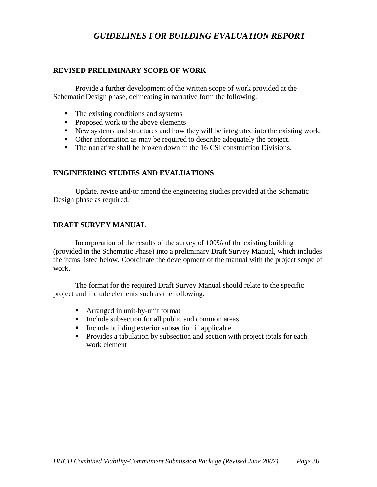## *GUIDELINES FOR BUILDING EVALUATION REPORT*

#### **REVISED PRELIMINARY SCOPE OF WORK**

Provide a further development of the written scope of work provided at the Schematic Design phase, delineating in narrative form the following:

- The existing conditions and systems
- Proposed work to the above elements
- New systems and structures and how they will be integrated into the existing work.
- Other information as may be required to describe adequately the project.
- The narrative shall be broken down in the 16 CSI construction Divisions.

#### **ENGINEERING STUDIES AND EVALUATIONS**

Update, revise and/or amend the engineering studies provided at the Schematic Design phase as required.

#### **DRAFT SURVEY MANUAL**

Incorporation of the results of the survey of 100% of the existing building (provided in the Schematic Phase) into a preliminary Draft Survey Manual, which includes the items listed below. Coordinate the development of the manual with the project scope of work.

The format for the required Draft Survey Manual should relate to the specific project and include elements such as the following:

- Arranged in unit-by-unit format
- Include subsection for all public and common areas
- Include building exterior subsection if applicable
- **Provides a tabulation by subsection and section with project totals for each** work element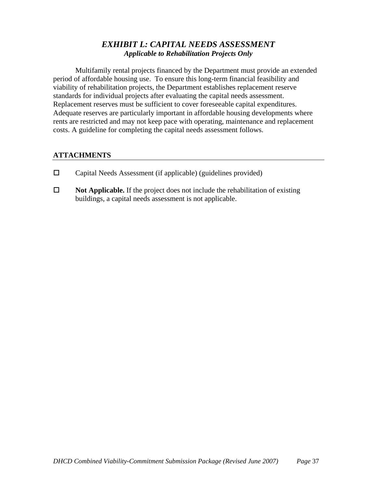## *EXHIBIT L: CAPITAL NEEDS ASSESSMENT Applicable to Rehabilitation Projects Only*

Multifamily rental projects financed by the Department must provide an extended period of affordable housing use. To ensure this long-term financial feasibility and viability of rehabilitation projects, the Department establishes replacement reserve standards for individual projects after evaluating the capital needs assessment. Replacement reserves must be sufficient to cover foreseeable capital expenditures. Adequate reserves are particularly important in affordable housing developments where rents are restricted and may not keep pace with operating, maintenance and replacement costs. A guideline for completing the capital needs assessment follows.

- $\square$  Capital Needs Assessment (if applicable) (guidelines provided)
- **Not Applicable.** If the project does not include the rehabilitation of existing buildings, a capital needs assessment is not applicable.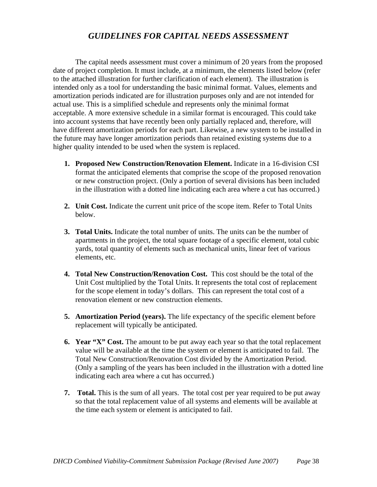## *GUIDELINES FOR CAPITAL NEEDS ASSESSMENT*

The capital needs assessment must cover a minimum of 20 years from the proposed date of project completion. It must include, at a minimum, the elements listed below (refer to the attached illustration for further clarification of each element). The illustration is intended only as a tool for understanding the basic minimal format. Values, elements and amortization periods indicated are for illustration purposes only and are not intended for actual use. This is a simplified schedule and represents only the minimal format acceptable. A more extensive schedule in a similar format is encouraged. This could take into account systems that have recently been only partially replaced and, therefore, will have different amortization periods for each part. Likewise, a new system to be installed in the future may have longer amortization periods than retained existing systems due to a higher quality intended to be used when the system is replaced.

- **1. Proposed New Construction/Renovation Element.** Indicate in a 16-division CSI format the anticipated elements that comprise the scope of the proposed renovation or new construction project. (Only a portion of several divisions has been included in the illustration with a dotted line indicating each area where a cut has occurred.)
- **2. Unit Cost.** Indicate the current unit price of the scope item. Refer to Total Units below.
- **3. Total Units.** Indicate the total number of units. The units can be the number of apartments in the project, the total square footage of a specific element, total cubic yards, total quantity of elements such as mechanical units, linear feet of various elements, etc.
- **4. Total New Construction/Renovation Cost.** This cost should be the total of the Unit Cost multiplied by the Total Units. It represents the total cost of replacement for the scope element in today's dollars. This can represent the total cost of a renovation element or new construction elements.
- **5. Amortization Period (years).** The life expectancy of the specific element before replacement will typically be anticipated.
- **6. Year "X" Cost.** The amount to be put away each year so that the total replacement value will be available at the time the system or element is anticipated to fail. The Total New Construction/Renovation Cost divided by the Amortization Period. (Only a sampling of the years has been included in the illustration with a dotted line indicating each area where a cut has occurred.)
- **7. Total.** This is the sum of all years. The total cost per year required to be put away so that the total replacement value of all systems and elements will be available at the time each system or element is anticipated to fail.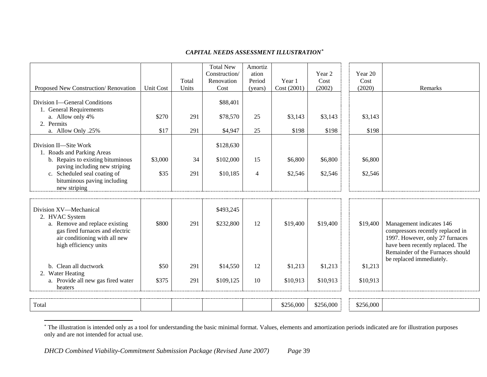#### <span id="page-39-0"></span>*CAPITAL NEEDS ASSESSMENT ILLUSTRATION[\\*](#page-39-0)*

|                                                                                           |                  | Total | <b>Total New</b><br>Construction/<br>Renovation | Amortiz<br>ation<br>Period | Year 1      | Year 2<br>Cost | Year 20<br>Cost |                                                                                                                                             |
|-------------------------------------------------------------------------------------------|------------------|-------|-------------------------------------------------|----------------------------|-------------|----------------|-----------------|---------------------------------------------------------------------------------------------------------------------------------------------|
| Proposed New Construction/Renovation                                                      | <b>Unit Cost</b> | Units | Cost                                            | (years)                    | Cost (2001) | (2002)         | (2020)          | Remarks                                                                                                                                     |
| Division I-General Conditions<br>1. General Requirements<br>a. Allow only 4%              | \$270            | 291   | \$88,401<br>\$78,570                            | 25                         | \$3,143     | \$3,143        | \$3,143         |                                                                                                                                             |
| 2. Permits<br>a. Allow Only .25%                                                          | \$17             | 291   | \$4,947                                         | 25                         | \$198       | \$198          | \$198           |                                                                                                                                             |
| Division II-Site Work<br>1. Roads and Parking Areas                                       |                  |       | \$128,630                                       |                            |             |                |                 |                                                                                                                                             |
| b. Repairs to existing bituminous<br>paving including new striping                        | \$3,000          | 34    | \$102,000                                       | 15                         | \$6,800     | \$6,800        | \$6,800         |                                                                                                                                             |
| c. Scheduled seal coating of<br>bituminous paving including<br>new striping               | \$35             | 291   | \$10,185                                        | $\overline{4}$             | \$2,546     | \$2,546        | \$2,546         |                                                                                                                                             |
|                                                                                           |                  |       |                                                 |                            |             |                |                 |                                                                                                                                             |
| Division XV-Mechanical<br>2. HVAC System<br>a. Remove and replace existing                | \$800            | 291   | \$493,245<br>\$232,800                          | 12                         | \$19,400    | \$19,400       | \$19,400        | Management indicates 146                                                                                                                    |
| gas fired furnaces and electric<br>air conditioning with all new<br>high efficiency units |                  |       |                                                 |                            |             |                |                 | compressors recently replaced in<br>1997. However, only 27 furnaces<br>have been recently replaced. The<br>Remainder of the Furnaces should |
| b. Clean all ductwork<br>2. Water Heating                                                 | \$50             | 291   | \$14,550                                        | 12                         | \$1,213     | \$1,213        | \$1,213         | be replaced immediately.                                                                                                                    |
| a. Provide all new gas fired water<br>heaters                                             | \$375            | 291   | \$109,125                                       | 10                         | \$10,913    | \$10,913       | \$10,913        |                                                                                                                                             |
|                                                                                           |                  |       |                                                 |                            |             |                |                 |                                                                                                                                             |
| Total                                                                                     |                  |       |                                                 |                            | \$256,000   | \$256,000      | \$256,000       |                                                                                                                                             |

<sup>\*</sup> The illustration is intended only as a tool for understanding the basic minimal format. Values, elements and amortization periods indicated are for illustration purposes only and are not intended for actual use.

 $\overline{a}$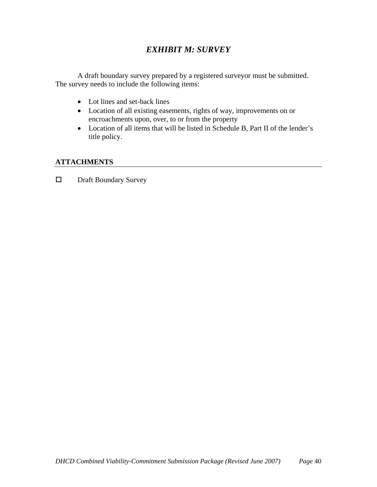## *EXHIBIT M: SURVEY*

A draft boundary survey prepared by a registered surveyor must be submitted. The survey needs to include the following items:

- Lot lines and set-back lines
- Location of all existing easements, rights of way, improvements on or encroachments upon, over, to or from the property
- Location of all items that will be listed in Schedule B, Part II of the lender's title policy.

#### **ATTACHMENTS**

□ Draft Boundary Survey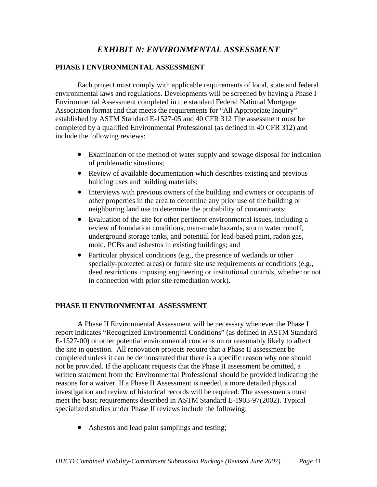## *EXHIBIT N: ENVIRONMENTAL ASSESSMENT*

#### **PHASE I ENVIRONMENTAL ASSESSMENT**

Each project must comply with applicable requirements of local, state and federal environmental laws and regulations. Developments will be screened by having a Phase I Environmental Assessment completed in the standard Federal National Mortgage Association format and that meets the requirements for "All Appropriate Inquiry" established by ASTM Standard E-1527-05 and 40 CFR 312 The assessment must be completed by a qualified Environmental Professional (as defined in 40 CFR 312) and include the following reviews:

- Examination of the method of water supply and sewage disposal for indication of problematic situations;
- Review of available documentation which describes existing and previous building uses and building materials;
- Interviews with previous owners of the building and owners or occupants of other properties in the area to determine any prior use of the building or neighboring land use to determine the probability of contaminants;
- Evaluation of the site for other pertinent environmental issues, including a review of foundation conditions, man-made hazards, storm water runoff, underground storage tanks, and potential for lead-based paint, radon gas, mold, PCBs and asbestos in existing buildings; and
- Particular physical conditions (e.g., the presence of wetlands or other specially-protected areas) or future site use requirements or conditions (e.g., deed restrictions imposing engineering or institutional controls, whether or not in connection with prior site remediation work).

#### **PHASE II ENVIRONMENTAL ASSESSMENT**

A Phase II Environmental Assessment will be necessary whenever the Phase I report indicates "Recognized Environmental Conditions" (as defined in ASTM Standard E-1527-00) or other potential environmental concerns on or reasonably likely to affect the site in question. All renovation projects require that a Phase II assessment be completed unless it can be demonstrated that there is a specific reason why one should not be provided. If the applicant requests that the Phase II assessment be omitted, a written statement from the Environmental Professional should be provided indicating the reasons for a waiver. If a Phase II Assessment is needed, a more detailed physical investigation and review of historical records will be required. The assessments must meet the basic requirements described in ASTM Standard E-1903-97(2002). Typical specialized studies under Phase II reviews include the following:

• Asbestos and lead paint samplings and testing;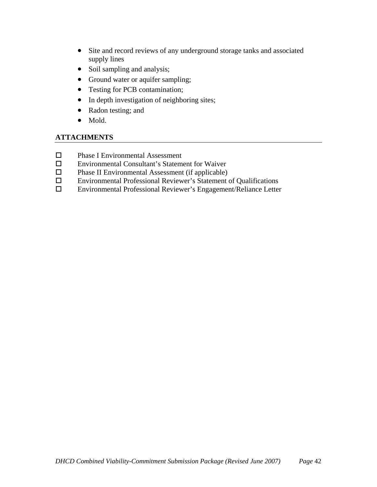- Site and record reviews of any underground storage tanks and associated supply lines
- Soil sampling and analysis;
- Ground water or aquifer sampling;
- Testing for PCB contamination;
- In depth investigation of neighboring sites;
- Radon testing; and
- Mold.

- □ Phase I Environmental Assessment
- Environmental Consultant's Statement for Waiver
- $\square$  Phase II Environmental Assessment (if applicable)
- Environmental Professional Reviewer's Statement of Qualifications
- Environmental Professional Reviewer's Engagement/Reliance Letter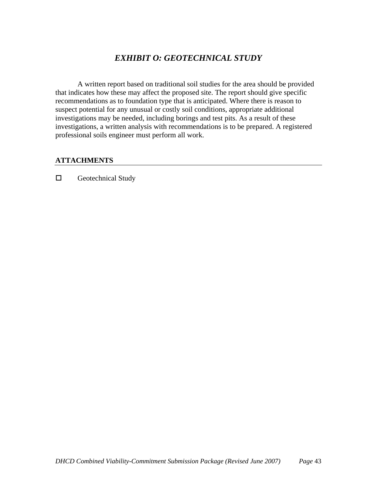## *EXHIBIT O: GEOTECHNICAL STUDY*

A written report based on traditional soil studies for the area should be provided that indicates how these may affect the proposed site. The report should give specific recommendations as to foundation type that is anticipated. Where there is reason to suspect potential for any unusual or costly soil conditions, appropriate additional investigations may be needed, including borings and test pits. As a result of these investigations, a written analysis with recommendations is to be prepared. A registered professional soils engineer must perform all work.

#### **ATTACHMENTS**

 $\square$  Geotechnical Study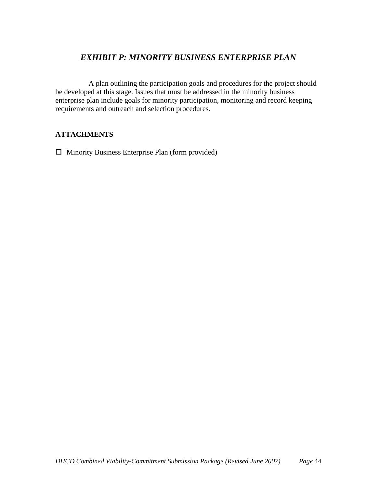## *EXHIBIT P: MINORITY BUSINESS ENTERPRISE PLAN*

 A plan outlining the participation goals and procedures for the project should be developed at this stage. Issues that must be addressed in the minority business enterprise plan include goals for minority participation, monitoring and record keeping requirements and outreach and selection procedures.

#### **ATTACHMENTS**

 $\Box$  Minority Business Enterprise Plan (form provided)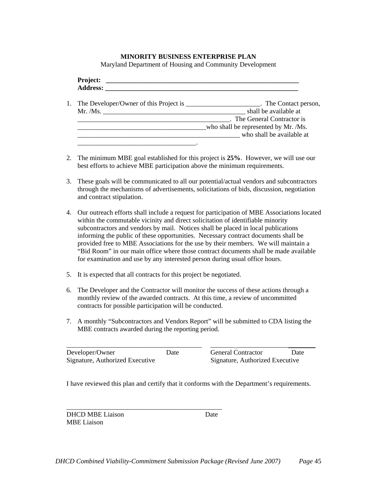#### **MINORITY BUSINESS ENTERPRISE PLAN**

Maryland Department of Housing and Community Development

|  | 1. The Developer/Owner of this Project is ______________________. The Contact person, |
|--|---------------------------------------------------------------------------------------|
|  | shall be available at                                                                 |
|  | . The General Contractor is                                                           |
|  | who shall be represented by Mr. /Ms.                                                  |
|  | who shall be available at                                                             |
|  |                                                                                       |

- 2. The minimum MBE goal established for this project is **25%**. However, we will use our best efforts to achieve MBE participation above the minimum requirements.
- 3. These goals will be communicated to all our potential/actual vendors and subcontractors through the mechanisms of advertisements, solicitations of bids, discussion, negotiation and contract stipulation.
- 4. Our outreach efforts shall include a request for participation of MBE Associations located within the commutable vicinity and direct solicitation of identifiable minority subcontractors and vendors by mail. Notices shall be placed in local publications informing the public of these opportunities. Necessary contract documents shall be provided free to MBE Associations for the use by their members. We will maintain a "Bid Room" in our main office where those contract documents shall be made available for examination and use by any interested person during usual office hours.
- 5. It is expected that all contracts for this project be negotiated.

\_\_\_\_\_\_\_\_\_\_\_\_\_\_\_\_\_\_\_\_\_\_\_\_\_\_\_\_\_\_\_\_\_\_\_\_\_\_\_\_\_\_\_\_\_\_

- 6. The Developer and the Contractor will monitor the success of these actions through a monthly review of the awarded contracts. At this time, a review of uncommitted contracts for possible participation will be conducted.
- 7. A monthly "Subcontractors and Vendors Report" will be submitted to CDA listing the MBE contracts awarded during the reporting period.

| Developer/Owner                 | Date | <b>General Contractor</b>       | Date |
|---------------------------------|------|---------------------------------|------|
| Signature, Authorized Executive |      | Signature, Authorized Executive |      |

I have reviewed this plan and certify that it conforms with the Department's requirements.

DHCD MBE Liaison Date MBE Liaison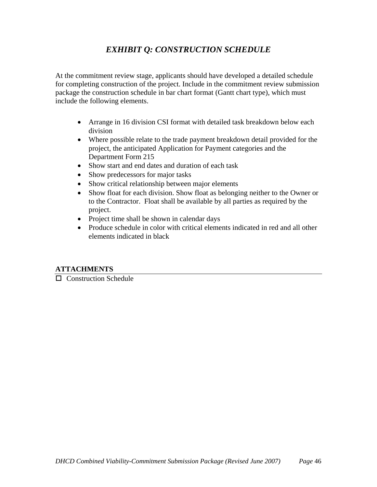## *EXHIBIT Q: CONSTRUCTION SCHEDULE*

At the commitment review stage, applicants should have developed a detailed schedule for completing construction of the project. Include in the commitment review submission package the construction schedule in bar chart format (Gantt chart type), which must include the following elements.

- Arrange in 16 division CSI format with detailed task breakdown below each division
- Where possible relate to the trade payment breakdown detail provided for the project, the anticipated Application for Payment categories and the Department Form 215
- Show start and end dates and duration of each task
- Show predecessors for major tasks
- Show critical relationship between major elements
- Show float for each division. Show float as belonging neither to the Owner or to the Contractor. Float shall be available by all parties as required by the project.
- Project time shall be shown in calendar days
- Produce schedule in color with critical elements indicated in red and all other elements indicated in black

#### **ATTACHMENTS**

**Construction Schedule**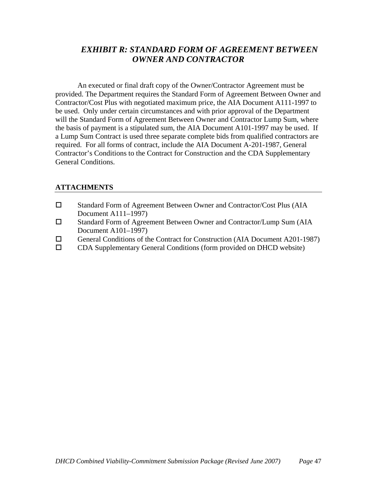## *EXHIBIT R: STANDARD FORM OF AGREEMENT BETWEEN OWNER AND CONTRACTOR*

An executed or final draft copy of the Owner/Contractor Agreement must be provided. The Department requires the Standard Form of Agreement Between Owner and Contractor/Cost Plus with negotiated maximum price, the AIA Document A111-1997 to be used. Only under certain circumstances and with prior approval of the Department will the Standard Form of Agreement Between Owner and Contractor Lump Sum, where the basis of payment is a stipulated sum, the AIA Document A101-1997 may be used. If a Lump Sum Contract is used three separate complete bids from qualified contractors are required. For all forms of contract, include the AIA Document A-201-1987, General Contractor's Conditions to the Contract for Construction and the CDA Supplementary General Conditions.

- □ Standard Form of Agreement Between Owner and Contractor/Cost Plus (AIA Document A111–1997)
- Standard Form of Agreement Between Owner and Contractor/Lump Sum (AIA Document A101–1997)
- General Conditions of the Contract for Construction (AIA Document A201-1987)<br>  $\square$  CDA Supplementary General Conditions (form provided on DHCD website)
- CDA Supplementary General Conditions (form provided on DHCD website)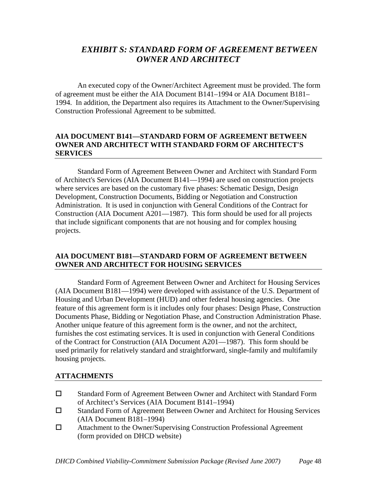## *EXHIBIT S: STANDARD FORM OF AGREEMENT BETWEEN OWNER AND ARCHITECT*

An executed copy of the Owner/Architect Agreement must be provided. The form of agreement must be either the AIA Document B141–1994 or AIA Document B181– 1994. In addition, the Department also requires its Attachment to the Owner/Supervising Construction Professional Agreement to be submitted.

#### **AIA DOCUMENT B141—STANDARD FORM OF AGREEMENT BETWEEN OWNER AND ARCHITECT WITH STANDARD FORM OF ARCHITECT'S SERVICES**

Standard Form of Agreement Between Owner and Architect with Standard Form of Architect's Services (AIA Document B141—1994) are used on construction projects where services are based on the customary five phases: Schematic Design, Design Development, Construction Documents, Bidding or Negotiation and Construction Administration. It is used in conjunction with General Conditions of the Contract for Construction (AIA Document A201—1987). This form should be used for all projects that include significant components that are not housing and for complex housing projects.

#### **AIA DOCUMENT B181—STANDARD FORM OF AGREEMENT BETWEEN OWNER AND ARCHITECT FOR HOUSING SERVICES**

Standard Form of Agreement Between Owner and Architect for Housing Services (AIA Document B181—1994) were developed with assistance of the U.S. Department of Housing and Urban Development (HUD) and other federal housing agencies. One feature of this agreement form is it includes only four phases: Design Phase, Construction Documents Phase, Bidding or Negotiation Phase, and Construction Administration Phase. Another unique feature of this agreement form is the owner, and not the architect, furnishes the cost estimating services. It is used in conjunction with General Conditions of the Contract for Construction (AIA Document A201—1987). This form should be used primarily for relatively standard and straightforward, single-family and multifamily housing projects.

- Standard Form of Agreement Between Owner and Architect with Standard Form of Architect's Services (AIA Document B141–1994)
- Standard Form of Agreement Between Owner and Architect for Housing Services (AIA Document B181–1994)
- Attachment to the Owner/Supervising Construction Professional Agreement (form provided on DHCD website)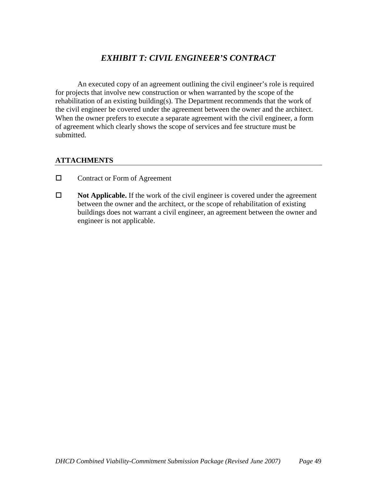## *EXHIBIT T: CIVIL ENGINEER'S CONTRACT*

An executed copy of an agreement outlining the civil engineer's role is required for projects that involve new construction or when warranted by the scope of the rehabilitation of an existing building(s). The Department recommends that the work of the civil engineer be covered under the agreement between the owner and the architect. When the owner prefers to execute a separate agreement with the civil engineer, a form of agreement which clearly shows the scope of services and fee structure must be submitted.

- □ Contract or Form of Agreement
- **Not Applicable.** If the work of the civil engineer is covered under the agreement between the owner and the architect, or the scope of rehabilitation of existing buildings does not warrant a civil engineer, an agreement between the owner and engineer is not applicable.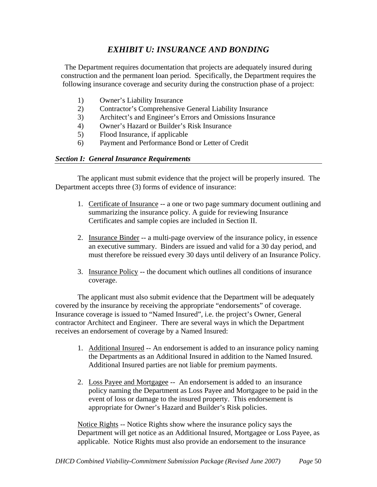## *EXHIBIT U: INSURANCE AND BONDING*

The Department requires documentation that projects are adequately insured during construction and the permanent loan period. Specifically, the Department requires the following insurance coverage and security during the construction phase of a project:

- 1) Owner's Liability Insurance
- 2) Contractor's Comprehensive General Liability Insurance
- 3) Architect's and Engineer's Errors and Omissions Insurance
- 4) Owner's Hazard or Builder's Risk Insurance
- 5) Flood Insurance, if applicable
- 6) Payment and Performance Bond or Letter of Credit

#### *Section I: General Insurance Requirements*

The applicant must submit evidence that the project will be properly insured. The Department accepts three (3) forms of evidence of insurance:

- 1. Certificate of Insurance -- a one or two page summary document outlining and summarizing the insurance policy. A guide for reviewing Insurance Certificates and sample copies are included in Section II.
- 2. Insurance Binder -- a multi-page overview of the insurance policy, in essence an executive summary. Binders are issued and valid for a 30 day period, and must therefore be reissued every 30 days until delivery of an Insurance Policy.
- 3. Insurance Policy -- the document which outlines all conditions of insurance coverage.

 The applicant must also submit evidence that the Department will be adequately covered by the insurance by receiving the appropriate "endorsements" of coverage. Insurance coverage is issued to "Named Insured", i.e. the project's Owner, General contractor Architect and Engineer. There are several ways in which the Department receives an endorsement of coverage by a Named Insured:

- 1. Additional Insured -- An endorsement is added to an insurance policy naming the Departments as an Additional Insured in addition to the Named Insured. Additional Insured parties are not liable for premium payments.
- 2. Loss Payee and Mortgagee -- An endorsement is added to an insurance policy naming the Department as Loss Payee and Mortgagee to be paid in the event of loss or damage to the insured property. This endorsement is appropriate for Owner's Hazard and Builder's Risk policies.

Notice Rights -- Notice Rights show where the insurance policy says the Department will get notice as an Additional Insured, Mortgagee or Loss Payee, as applicable. Notice Rights must also provide an endorsement to the insurance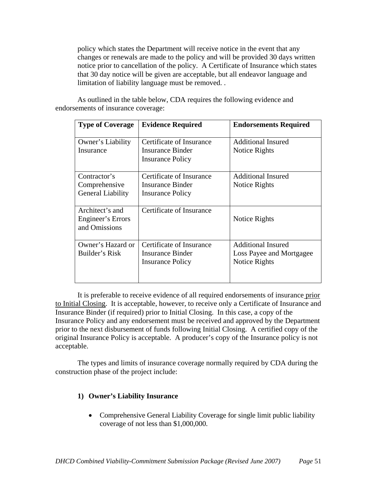policy which states the Department will receive notice in the event that any changes or renewals are made to the policy and will be provided 30 days written notice prior to cancellation of the policy. A Certificate of Insurance which states that 30 day notice will be given are acceptable, but all endeavor language and limitation of liability language must be removed. .

As outlined in the table below, CDA requires the following evidence and endorsements of insurance coverage:

| <b>Type of Coverage</b>                                   | <b>Evidence Required</b>                                                | <b>Endorsements Required</b>                                           |
|-----------------------------------------------------------|-------------------------------------------------------------------------|------------------------------------------------------------------------|
| Owner's Liability<br>Insurance                            | Certificate of Insurance<br>Insurance Binder<br><b>Insurance Policy</b> | <b>Additional Insured</b><br>Notice Rights                             |
| Contractor's<br>Comprehensive<br><b>General Liability</b> | Certificate of Insurance<br>Insurance Binder<br><b>Insurance Policy</b> | <b>Additional Insured</b><br>Notice Rights                             |
| Architect's and<br>Engineer's Errors<br>and Omissions     | Certificate of Insurance                                                | Notice Rights                                                          |
| Owner's Hazard or<br>Builder's Risk                       | Certificate of Insurance<br>Insurance Binder<br><b>Insurance Policy</b> | <b>Additional Insured</b><br>Loss Payee and Mortgagee<br>Notice Rights |

It is preferable to receive evidence of all required endorsements of insurance prior to Initial Closing. It is acceptable, however, to receive only a Certificate of Insurance and Insurance Binder (if required) prior to Initial Closing. In this case, a copy of the Insurance Policy and any endorsement must be received and approved by the Department prior to the next disbursement of funds following Initial Closing. A certified copy of the original Insurance Policy is acceptable. A producer's copy of the Insurance policy is not acceptable.

The types and limits of insurance coverage normally required by CDA during the construction phase of the project include:

#### **1) Owner's Liability Insurance**

• Comprehensive General Liability Coverage for single limit public liability coverage of not less than \$1,000,000.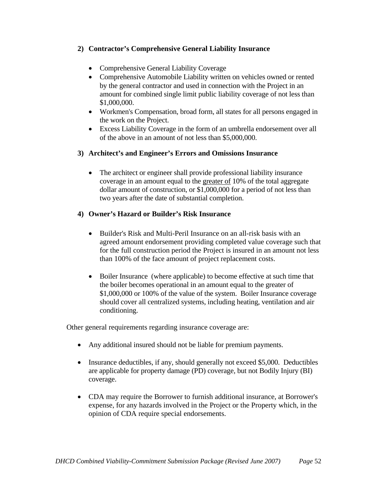#### **2) Contractor's Comprehensive General Liability Insurance**

- Comprehensive General Liability Coverage
- Comprehensive Automobile Liability written on vehicles owned or rented by the general contractor and used in connection with the Project in an amount for combined single limit public liability coverage of not less than \$1,000,000.
- Workmen's Compensation, broad form, all states for all persons engaged in the work on the Project.
- Excess Liability Coverage in the form of an umbrella endorsement over all of the above in an amount of not less than \$5,000,000.

#### **3) Architect's and Engineer's Errors and Omissions Insurance**

• The architect or engineer shall provide professional liability insurance coverage in an amount equal to the greater of 10% of the total aggregate dollar amount of construction, or \$1,000,000 for a period of not less than two years after the date of substantial completion.

#### **4) Owner's Hazard or Builder's Risk Insurance**

- Builder's Risk and Multi-Peril Insurance on an all-risk basis with an agreed amount endorsement providing completed value coverage such that for the full construction period the Project is insured in an amount not less than 100% of the face amount of project replacement costs.
- Boiler Insurance (where applicable) to become effective at such time that the boiler becomes operational in an amount equal to the greater of \$1,000,000 or 100% of the value of the system. Boiler Insurance coverage should cover all centralized systems, including heating, ventilation and air conditioning.

Other general requirements regarding insurance coverage are:

- Any additional insured should not be liable for premium payments.
- Insurance deductibles, if any, should generally not exceed \$5,000. Deductibles are applicable for property damage (PD) coverage, but not Bodily Injury (BI) coverage.
- CDA may require the Borrower to furnish additional insurance, at Borrower's expense, for any hazards involved in the Project or the Property which, in the opinion of CDA require special endorsements.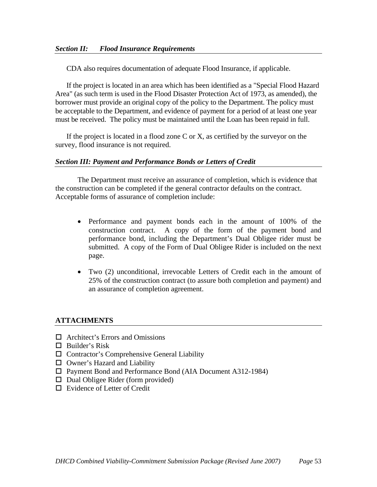CDA also requires documentation of adequate Flood Insurance, if applicable.

If the project is located in an area which has been identified as a "Special Flood Hazard Area" (as such term is used in the Flood Disaster Protection Act of 1973, as amended), the borrower must provide an original copy of the policy to the Department. The policy must be acceptable to the Department, and evidence of payment for a period of at least one year must be received. The policy must be maintained until the Loan has been repaid in full.

If the project is located in a flood zone C or X, as certified by the surveyor on the survey, flood insurance is not required.

#### *Section III: Payment and Performance Bonds or Letters of Credit*

The Department must receive an assurance of completion, which is evidence that the construction can be completed if the general contractor defaults on the contract. Acceptable forms of assurance of completion include:

- Performance and payment bonds each in the amount of 100% of the construction contract. A copy of the form of the payment bond and performance bond, including the Department's Dual Obligee rider must be submitted. A copy of the Form of Dual Obligee Rider is included on the next page.
- Two (2) unconditional, irrevocable Letters of Credit each in the amount of 25% of the construction contract (to assure both completion and payment) and an assurance of completion agreement.

- $\Box$  Architect's Errors and Omissions
- $\Box$  Builder's Risk
- $\Box$  Contractor's Comprehensive General Liability
- $\square$  Owner's Hazard and Liability
- Payment Bond and Performance Bond (AIA Document A312-1984)
- $\Box$  Dual Obligee Rider (form provided)
- □ Evidence of Letter of Credit